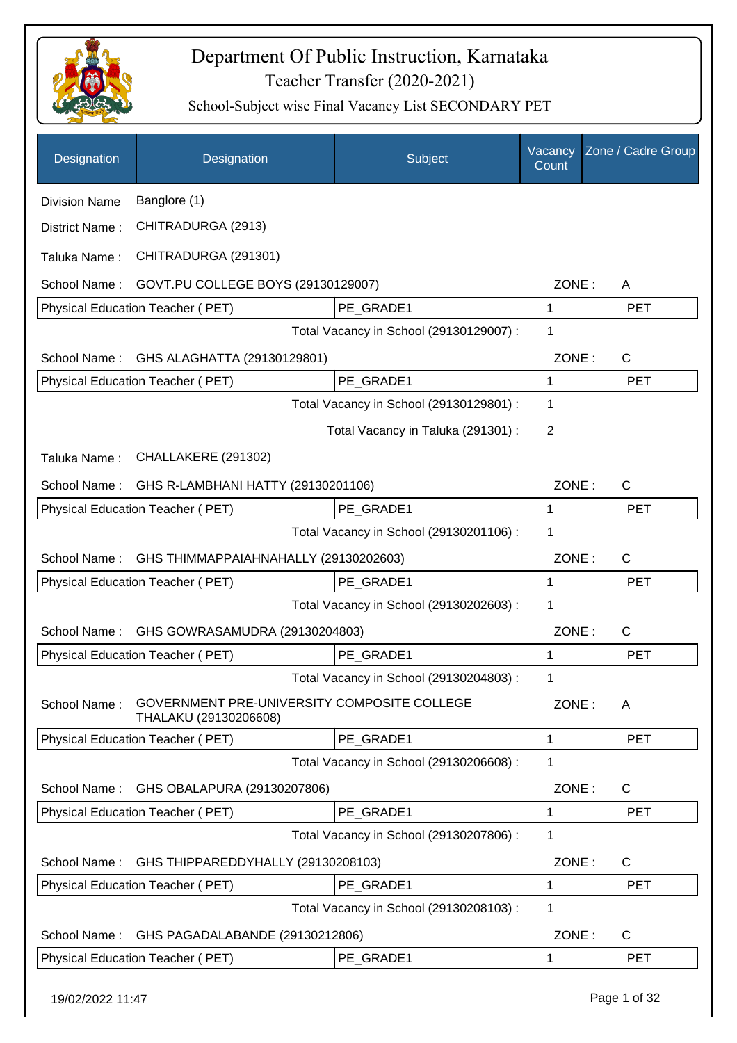

| Designation          | Designation                                                          | Subject                                 | Vacancy<br>Count | Zone / Cadre Group |
|----------------------|----------------------------------------------------------------------|-----------------------------------------|------------------|--------------------|
| <b>Division Name</b> | Banglore (1)                                                         |                                         |                  |                    |
| District Name:       | CHITRADURGA (2913)                                                   |                                         |                  |                    |
| Taluka Name:         | CHITRADURGA (291301)                                                 |                                         |                  |                    |
| School Name:         | GOVT.PU COLLEGE BOYS (29130129007)                                   |                                         | ZONE:            | A                  |
|                      | Physical Education Teacher (PET)                                     | PE_GRADE1                               | 1                | <b>PET</b>         |
|                      |                                                                      | Total Vacancy in School (29130129007) : | 1                |                    |
| School Name:         | GHS ALAGHATTA (29130129801)                                          |                                         | ZONE:            | $\mathsf{C}$       |
|                      | <b>Physical Education Teacher (PET)</b>                              | PE GRADE1                               | 1                | <b>PET</b>         |
|                      |                                                                      | Total Vacancy in School (29130129801) : | 1                |                    |
|                      |                                                                      | Total Vacancy in Taluka (291301) :      | $\overline{2}$   |                    |
| Taluka Name:         | CHALLAKERE (291302)                                                  |                                         |                  |                    |
| School Name:         | GHS R-LAMBHANI HATTY (29130201106)                                   |                                         | ZONE:            | $\mathsf{C}$       |
|                      | Physical Education Teacher (PET)                                     | PE_GRADE1                               | 1                | <b>PET</b>         |
|                      |                                                                      | Total Vacancy in School (29130201106) : | 1                |                    |
| School Name:         | GHS THIMMAPPAIAHNAHALLY (29130202603)                                |                                         | ZONE:            | $\mathsf{C}$       |
|                      | Physical Education Teacher (PET)                                     | PE GRADE1                               | 1                | <b>PET</b>         |
|                      |                                                                      | Total Vacancy in School (29130202603) : | 1                |                    |
| School Name:         | GHS GOWRASAMUDRA (29130204803)                                       |                                         | ZONE:            | $\mathsf{C}$       |
|                      | Physical Education Teacher (PET)                                     | PE_GRADE1                               | 1                | <b>PET</b>         |
|                      |                                                                      | Total Vacancy in School (29130204803) : | 1                |                    |
| School Name:         | GOVERNMENT PRE-UNIVERSITY COMPOSITE COLLEGE<br>THALAKU (29130206608) |                                         | ZONE:            | A                  |
|                      | Physical Education Teacher (PET)                                     | PE_GRADE1                               | 1                | <b>PET</b>         |
|                      |                                                                      | Total Vacancy in School (29130206608) : | 1                |                    |
| School Name:         | GHS OBALAPURA (29130207806)                                          |                                         | ZONE:            | C                  |
|                      | Physical Education Teacher (PET)                                     | PE GRADE1                               | 1                | <b>PET</b>         |
|                      |                                                                      | Total Vacancy in School (29130207806) : | 1                |                    |
| School Name:         | GHS THIPPAREDDYHALLY (29130208103)                                   |                                         | ZONE:            | $\mathsf{C}$       |
|                      | Physical Education Teacher (PET)                                     | PE_GRADE1                               | 1                | <b>PET</b>         |
|                      |                                                                      | Total Vacancy in School (29130208103) : | 1                |                    |
| School Name:         | GHS PAGADALABANDE (29130212806)                                      |                                         | ZONE:            | $\mathsf{C}$       |
|                      | Physical Education Teacher (PET)                                     | PE_GRADE1                               | 1                | <b>PET</b>         |
| 19/02/2022 11:47     |                                                                      |                                         |                  | Page 1 of 32       |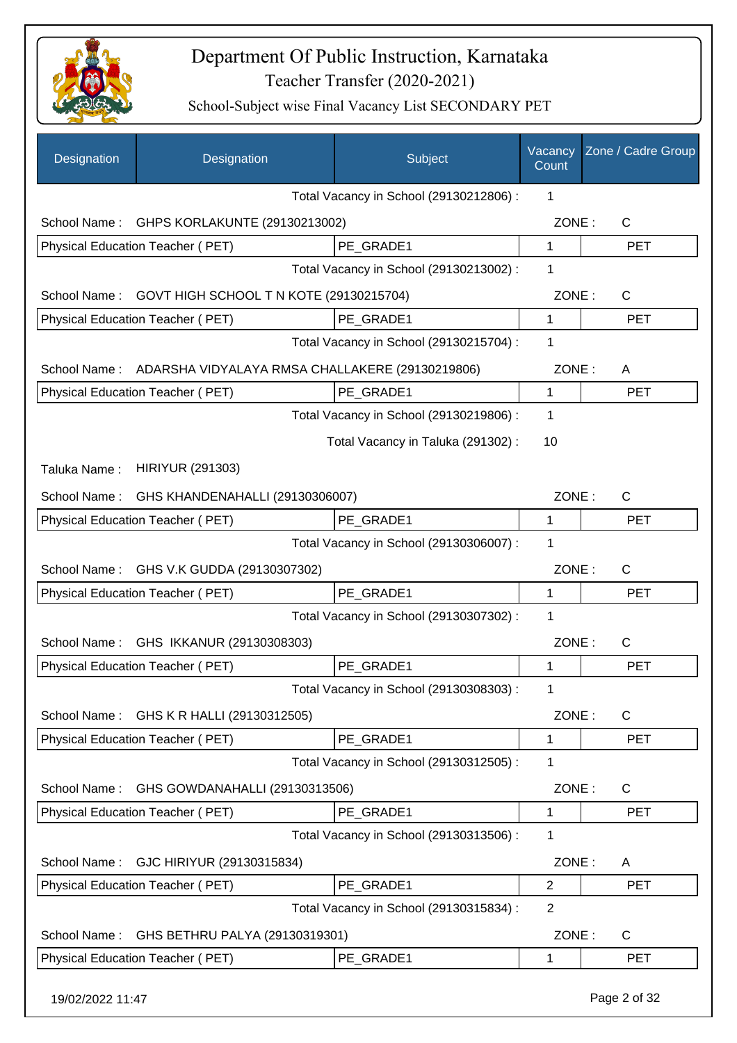

| Designation      | Designation                                                  | Subject                                 | Vacancy<br>Count | Zone / Cadre Group |
|------------------|--------------------------------------------------------------|-----------------------------------------|------------------|--------------------|
|                  |                                                              | Total Vacancy in School (29130212806) : | 1                |                    |
| School Name:     | GHPS KORLAKUNTE (29130213002)                                |                                         | ZONE:            | $\mathsf{C}$       |
|                  | Physical Education Teacher (PET)                             | PE GRADE1                               | 1                | <b>PET</b>         |
|                  |                                                              | Total Vacancy in School (29130213002) : | 1                |                    |
| School Name:     | GOVT HIGH SCHOOL T N KOTE (29130215704)                      |                                         | ZONE:            | $\mathsf{C}$       |
|                  | Physical Education Teacher (PET)                             | PE GRADE1                               | $\mathbf{1}$     | <b>PET</b>         |
|                  |                                                              | Total Vacancy in School (29130215704) : | 1                |                    |
|                  | School Name: ADARSHA VIDYALAYA RMSA CHALLAKERE (29130219806) |                                         | ZONE:            | A                  |
|                  | <b>Physical Education Teacher (PET)</b>                      | PE_GRADE1                               | 1                | <b>PET</b>         |
|                  |                                                              | Total Vacancy in School (29130219806) : | 1                |                    |
|                  |                                                              | Total Vacancy in Taluka (291302):       | 10               |                    |
| Taluka Name :    | <b>HIRIYUR (291303)</b>                                      |                                         |                  |                    |
|                  | School Name: GHS KHANDENAHALLI (29130306007)                 |                                         | ZONE:            | C                  |
|                  | Physical Education Teacher (PET)                             | PE_GRADE1                               | 1                | <b>PET</b>         |
|                  |                                                              | Total Vacancy in School (29130306007) : | 1                |                    |
| School Name:     | GHS V.K GUDDA (29130307302)                                  |                                         | ZONE:            | C                  |
|                  | Physical Education Teacher (PET)                             | PE_GRADE1                               | 1                | <b>PET</b>         |
|                  |                                                              | Total Vacancy in School (29130307302) : | 1                |                    |
| School Name:     | GHS IKKANUR (29130308303)                                    |                                         | ZONE:            | C                  |
|                  | Physical Education Teacher (PET)                             | PE GRADE1                               | 1                | <b>PET</b>         |
|                  |                                                              | Total Vacancy in School (29130308303) : | 1                |                    |
| School Name:     | GHS K R HALLI (29130312505)                                  |                                         | ZONE:            | C                  |
|                  | <b>Physical Education Teacher (PET)</b>                      | PE_GRADE1                               | 1                | <b>PET</b>         |
|                  |                                                              | Total Vacancy in School (29130312505) : | 1                |                    |
| School Name:     | GHS GOWDANAHALLI (29130313506)                               |                                         | ZONE:            | $\mathsf{C}$       |
|                  | Physical Education Teacher (PET)                             | PE_GRADE1                               | 1                | <b>PET</b>         |
|                  |                                                              | Total Vacancy in School (29130313506) : | 1                |                    |
| School Name:     | GJC HIRIYUR (29130315834)                                    |                                         | ZONE:            | A                  |
|                  | <b>Physical Education Teacher (PET)</b>                      | PE GRADE1                               | $\overline{2}$   | <b>PET</b>         |
|                  |                                                              | Total Vacancy in School (29130315834) : | $\overline{2}$   |                    |
| School Name:     | GHS BETHRU PALYA (29130319301)                               |                                         | ZONE:            | C                  |
|                  | Physical Education Teacher (PET)                             | PE_GRADE1                               | 1                | <b>PET</b>         |
| 19/02/2022 11:47 |                                                              |                                         |                  | Page 2 of 32       |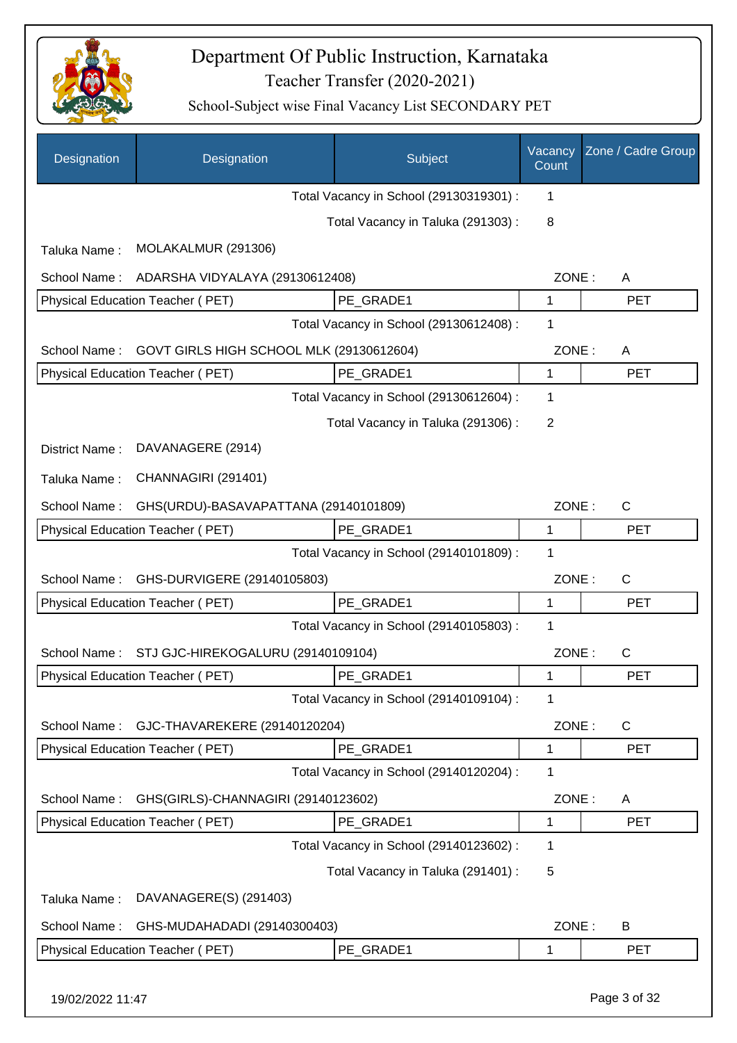

| Designation      | Designation                              | Subject                                 | Vacancy<br>Count | Zone / Cadre Group |
|------------------|------------------------------------------|-----------------------------------------|------------------|--------------------|
|                  |                                          | Total Vacancy in School (29130319301) : | 1                |                    |
|                  |                                          | Total Vacancy in Taluka (291303):       | 8                |                    |
| Taluka Name:     | MOLAKALMUR (291306)                      |                                         |                  |                    |
| School Name:     | ADARSHA VIDYALAYA (29130612408)          |                                         | ZONE:            | A                  |
|                  | Physical Education Teacher (PET)         | PE_GRADE1                               | 1                | <b>PET</b>         |
|                  |                                          | Total Vacancy in School (29130612408) : | 1                |                    |
| School Name:     | GOVT GIRLS HIGH SCHOOL MLK (29130612604) |                                         | ZONE:            | A                  |
|                  | Physical Education Teacher (PET)         | PE_GRADE1                               | 1                | <b>PET</b>         |
|                  |                                          | Total Vacancy in School (29130612604) : | 1                |                    |
|                  |                                          | Total Vacancy in Taluka (291306):       | 2                |                    |
| District Name:   | DAVANAGERE (2914)                        |                                         |                  |                    |
| Taluka Name:     | CHANNAGIRI (291401)                      |                                         |                  |                    |
| School Name:     | GHS(URDU)-BASAVAPATTANA (29140101809)    |                                         | ZONE:            | $\mathsf{C}$       |
|                  | Physical Education Teacher (PET)         | PE GRADE1                               | 1                | <b>PET</b>         |
|                  |                                          | Total Vacancy in School (29140101809) : | 1                |                    |
| School Name:     | GHS-DURVIGERE (29140105803)              |                                         | ZONE:            | C                  |
|                  | Physical Education Teacher (PET)         | PE GRADE1                               | $\mathbf{1}$     | <b>PET</b>         |
|                  |                                          | Total Vacancy in School (29140105803) : | 1                |                    |
| School Name:     | STJ GJC-HIREKOGALURU (29140109104)       |                                         | ZONE:            | $\mathsf{C}$       |
|                  | Physical Education Teacher (PET)         | PE_GRADE1                               | 1                | <b>PET</b>         |
|                  |                                          | Total Vacancy in School (29140109104) : | 1                |                    |
| School Name:     | GJC-THAVAREKERE (29140120204)            |                                         | ZONE:            | $\mathsf{C}$       |
|                  | Physical Education Teacher (PET)         | PE_GRADE1                               | 1                | <b>PET</b>         |
|                  |                                          | Total Vacancy in School (29140120204) : | 1                |                    |
| School Name:     | GHS(GIRLS)-CHANNAGIRI (29140123602)      |                                         | ZONE:            | A                  |
|                  | Physical Education Teacher (PET)         | PE_GRADE1                               | 1                | <b>PET</b>         |
|                  |                                          | Total Vacancy in School (29140123602) : | 1                |                    |
|                  |                                          | Total Vacancy in Taluka (291401) :      | 5                |                    |
| Taluka Name:     | DAVANAGERE(S) (291403)                   |                                         |                  |                    |
| School Name:     | GHS-MUDAHADADI (29140300403)             |                                         | ZONE:            | B                  |
|                  | Physical Education Teacher (PET)         | PE_GRADE1                               | 1                | <b>PET</b>         |
| 19/02/2022 11:47 |                                          |                                         |                  | Page 3 of 32       |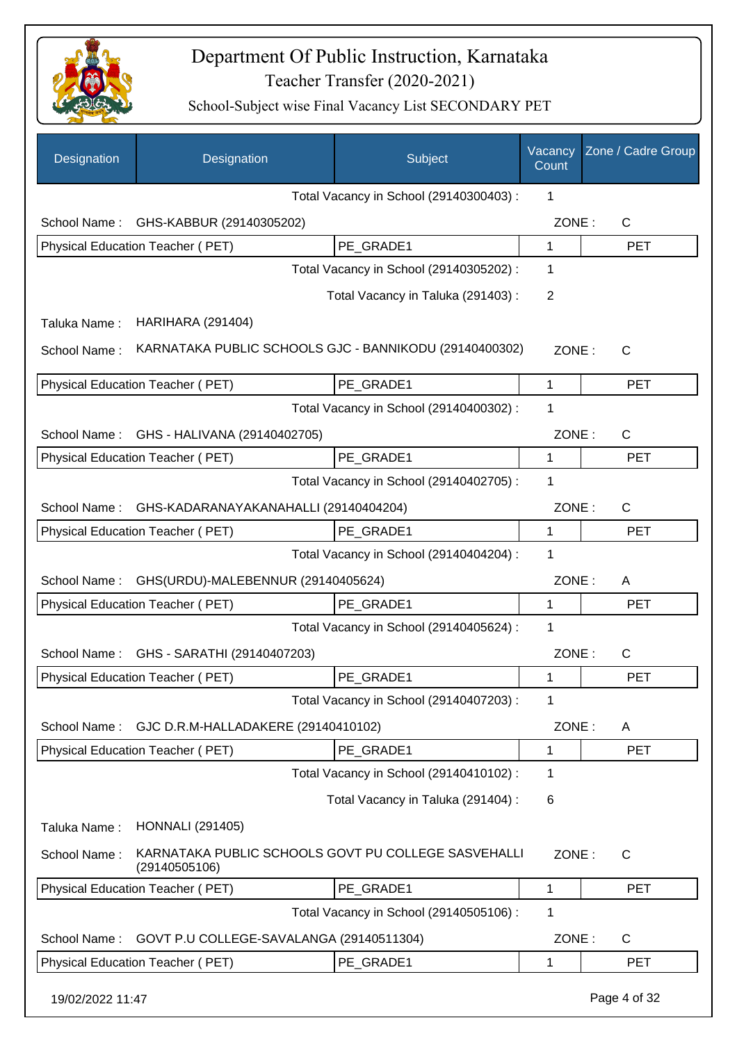

| Designation      | Designation                              | Subject                                                | Vacancy<br>Count | Zone / Cadre Group |
|------------------|------------------------------------------|--------------------------------------------------------|------------------|--------------------|
|                  |                                          | Total Vacancy in School (29140300403) :                | 1                |                    |
| School Name:     | GHS-KABBUR (29140305202)                 |                                                        | ZONE:            | $\mathsf{C}$       |
|                  | Physical Education Teacher (PET)         | PE GRADE1                                              | 1                | <b>PET</b>         |
|                  |                                          | Total Vacancy in School (29140305202) :                | 1                |                    |
|                  |                                          | Total Vacancy in Taluka (291403):                      | 2                |                    |
| Taluka Name:     | <b>HARIHARA (291404)</b>                 |                                                        |                  |                    |
| School Name:     |                                          | KARNATAKA PUBLIC SCHOOLS GJC - BANNIKODU (29140400302) | ZONE:            | C                  |
|                  | Physical Education Teacher (PET)         | PE GRADE1                                              | 1                | <b>PET</b>         |
|                  |                                          | Total Vacancy in School (29140400302) :                | 1                |                    |
| School Name:     | GHS - HALIVANA (29140402705)             |                                                        | ZONE:            | $\mathsf{C}$       |
|                  | Physical Education Teacher (PET)         | PE GRADE1                                              | 1                | <b>PET</b>         |
|                  |                                          | Total Vacancy in School (29140402705) :                | 1                |                    |
| School Name:     | GHS-KADARANAYAKANAHALLI (29140404204)    |                                                        | ZONE:            | $\mathsf{C}$       |
|                  | Physical Education Teacher (PET)         | PE_GRADE1                                              | 1                | <b>PET</b>         |
|                  |                                          | Total Vacancy in School (29140404204) :                | 1                |                    |
| School Name:     | GHS(URDU)-MALEBENNUR (29140405624)       |                                                        | ZONE:            | A                  |
|                  | Physical Education Teacher (PET)         | PE_GRADE1                                              | 1                | <b>PET</b>         |
|                  |                                          | Total Vacancy in School (29140405624) :                | 1                |                    |
| School Name:     | GHS - SARATHI (29140407203)              |                                                        | ZONE:            | C                  |
|                  | Physical Education Teacher (PET)         | PE_GRADE1                                              | 1                | <b>PET</b>         |
|                  |                                          | Total Vacancy in School (29140407203) :                | 1                |                    |
| School Name:     | GJC D.R.M-HALLADAKERE (29140410102)      |                                                        | ZONE:            | A                  |
|                  | Physical Education Teacher (PET)         | PE_GRADE1                                              | 1                | <b>PET</b>         |
|                  |                                          | Total Vacancy in School (29140410102) :                | 1                |                    |
|                  |                                          | Total Vacancy in Taluka (291404) :                     | 6                |                    |
| Taluka Name:     | <b>HONNALI</b> (291405)                  |                                                        |                  |                    |
| School Name:     | (29140505106)                            | KARNATAKA PUBLIC SCHOOLS GOVT PU COLLEGE SASVEHALLI    | ZONE:            | $\mathsf{C}$       |
|                  | <b>Physical Education Teacher (PET)</b>  | PE_GRADE1                                              | 1                | <b>PET</b>         |
|                  |                                          | Total Vacancy in School (29140505106) :                | 1                |                    |
| School Name:     | GOVT P.U COLLEGE-SAVALANGA (29140511304) |                                                        | ZONE:            | C                  |
|                  | Physical Education Teacher (PET)         | PE_GRADE1                                              | 1                | <b>PET</b>         |
| 19/02/2022 11:47 |                                          |                                                        |                  | Page 4 of 32       |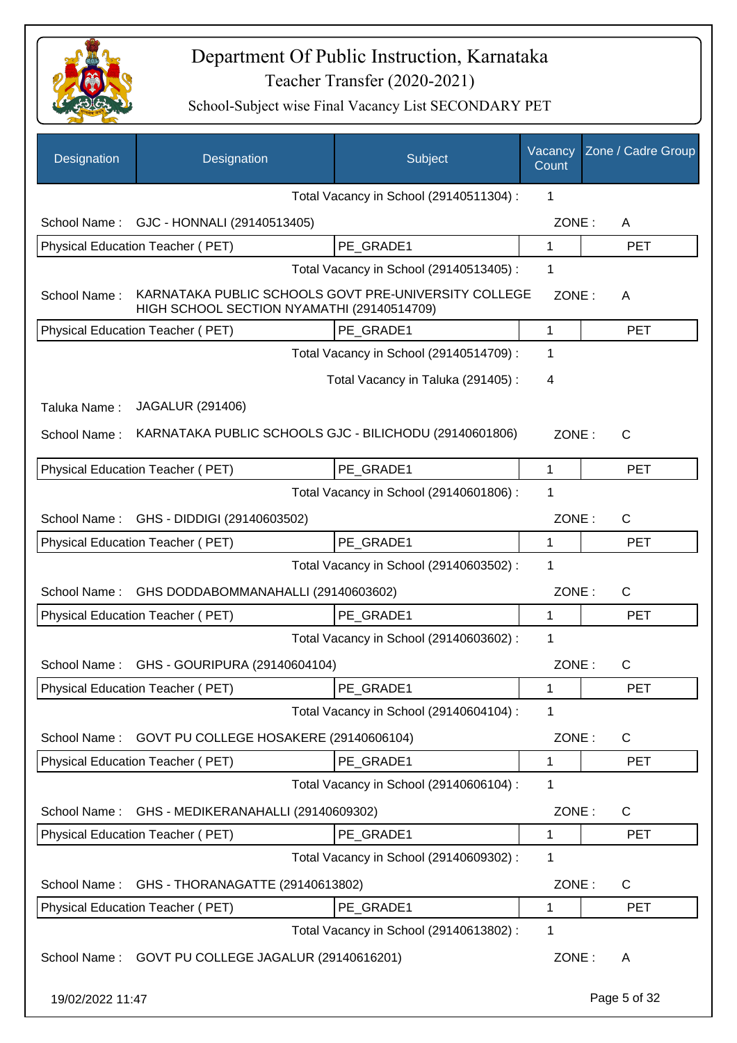

| Designation      | Designation                                                                                        | Subject                                 | Vacancy<br>Count | Zone / Cadre Group |
|------------------|----------------------------------------------------------------------------------------------------|-----------------------------------------|------------------|--------------------|
|                  |                                                                                                    | Total Vacancy in School (29140511304) : | 1                |                    |
| School Name:     | GJC - HONNALI (29140513405)                                                                        |                                         | ZONE:            | A                  |
|                  | Physical Education Teacher (PET)                                                                   | PE GRADE1                               | 1                | <b>PET</b>         |
|                  |                                                                                                    | Total Vacancy in School (29140513405) : | 1                |                    |
| School Name:     | KARNATAKA PUBLIC SCHOOLS GOVT PRE-UNIVERSITY COLLEGE<br>HIGH SCHOOL SECTION NYAMATHI (29140514709) |                                         | ZONE:            | A                  |
|                  | Physical Education Teacher (PET)                                                                   | PE_GRADE1                               | 1                | <b>PET</b>         |
|                  |                                                                                                    | Total Vacancy in School (29140514709) : | 1                |                    |
|                  |                                                                                                    | Total Vacancy in Taluka (291405):       | 4                |                    |
| Taluka Name:     | <b>JAGALUR (291406)</b>                                                                            |                                         |                  |                    |
| School Name:     | KARNATAKA PUBLIC SCHOOLS GJC - BILICHODU (29140601806)                                             |                                         | ZONE:            | C                  |
|                  | Physical Education Teacher (PET)                                                                   | PE GRADE1                               | 1                | <b>PET</b>         |
|                  |                                                                                                    | Total Vacancy in School (29140601806) : | 1                |                    |
| School Name:     | GHS - DIDDIGI (29140603502)                                                                        |                                         | ZONE:            | $\mathsf{C}$       |
|                  | Physical Education Teacher (PET)                                                                   | PE GRADE1                               | $\mathbf{1}$     | <b>PET</b>         |
|                  |                                                                                                    | Total Vacancy in School (29140603502) : | 1                |                    |
| School Name:     | GHS DODDABOMMANAHALLI (29140603602)                                                                |                                         | ZONE:            | $\mathsf{C}$       |
|                  | Physical Education Teacher (PET)                                                                   | PE_GRADE1                               | 1                | <b>PET</b>         |
|                  |                                                                                                    | Total Vacancy in School (29140603602) : | 1                |                    |
| School Name:     | GHS - GOURIPURA (29140604104)                                                                      |                                         | ZONE:            | C                  |
|                  | Physical Education Teacher (PET)                                                                   | PE_GRADE1                               | 1                | PET                |
|                  |                                                                                                    | Total Vacancy in School (29140604104) : | 1                |                    |
| School Name:     | GOVT PU COLLEGE HOSAKERE (29140606104)                                                             |                                         | ZONE:            | C                  |
|                  | Physical Education Teacher (PET)                                                                   | PE_GRADE1                               | 1                | <b>PET</b>         |
|                  |                                                                                                    | Total Vacancy in School (29140606104) : | 1                |                    |
| School Name:     | GHS - MEDIKERANAHALLI (29140609302)                                                                |                                         | ZONE:            | C                  |
|                  | Physical Education Teacher (PET)                                                                   | PE GRADE1                               | 1                | <b>PET</b>         |
|                  |                                                                                                    | Total Vacancy in School (29140609302) : | 1                |                    |
| School Name:     | GHS - THORANAGATTE (29140613802)                                                                   |                                         | ZONE:            | C                  |
|                  | Physical Education Teacher (PET)                                                                   | PE_GRADE1                               | 1                | <b>PET</b>         |
|                  |                                                                                                    | Total Vacancy in School (29140613802) : | 1                |                    |
| School Name:     | GOVT PU COLLEGE JAGALUR (29140616201)                                                              |                                         | ZONE:            | A                  |
| 19/02/2022 11:47 |                                                                                                    |                                         |                  | Page 5 of 32       |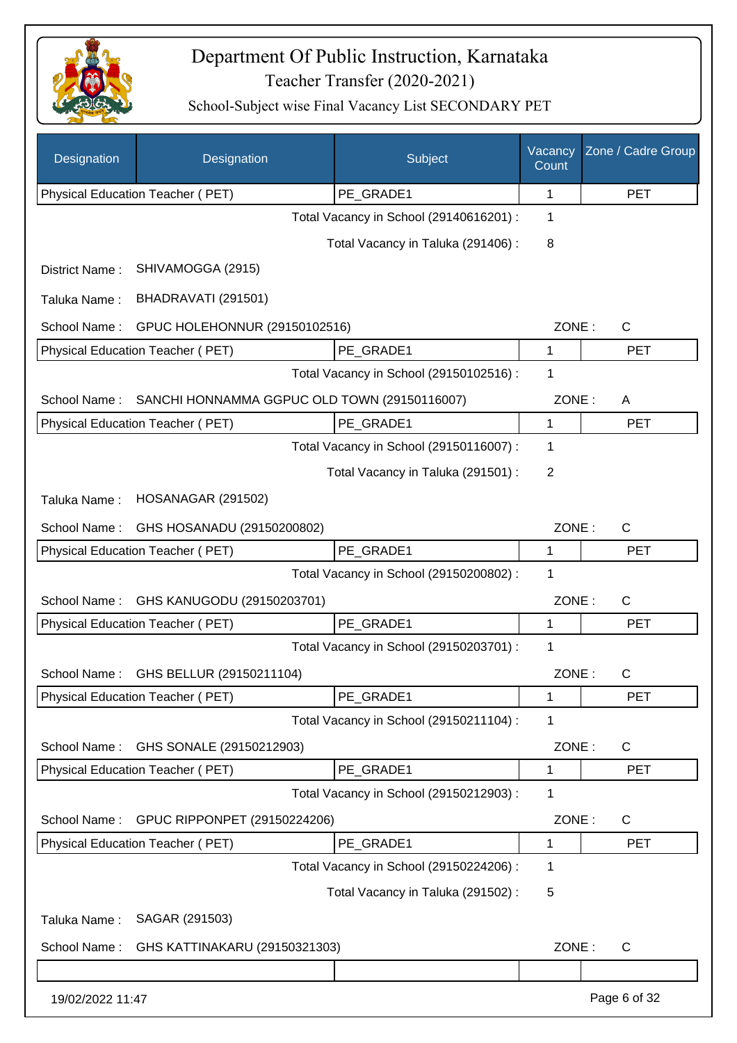

| Designation      | Designation                                  | Subject                                 | Vacancy<br>Count | Zone / Cadre Group |
|------------------|----------------------------------------------|-----------------------------------------|------------------|--------------------|
|                  | Physical Education Teacher (PET)             | PE_GRADE1                               | 1                | <b>PET</b>         |
|                  |                                              | Total Vacancy in School (29140616201) : | 1                |                    |
|                  |                                              | Total Vacancy in Taluka (291406):       | 8                |                    |
| District Name:   | SHIVAMOGGA (2915)                            |                                         |                  |                    |
| Taluka Name:     | BHADRAVATI (291501)                          |                                         |                  |                    |
| School Name:     | GPUC HOLEHONNUR (29150102516)                |                                         | ZONE:            | C                  |
|                  | Physical Education Teacher (PET)             | PE_GRADE1                               | 1                | <b>PET</b>         |
|                  |                                              | Total Vacancy in School (29150102516) : | 1                |                    |
| School Name:     | SANCHI HONNAMMA GGPUC OLD TOWN (29150116007) |                                         | ZONE:            | A                  |
|                  | Physical Education Teacher (PET)             | PE_GRADE1                               | 1                | <b>PET</b>         |
|                  |                                              | Total Vacancy in School (29150116007) : | 1                |                    |
|                  |                                              | Total Vacancy in Taluka (291501) :      | 2                |                    |
| Taluka Name:     | <b>HOSANAGAR (291502)</b>                    |                                         |                  |                    |
| School Name:     | GHS HOSANADU (29150200802)                   |                                         | ZONE:            | C                  |
|                  | Physical Education Teacher (PET)             | PE GRADE1                               | 1                | <b>PET</b>         |
|                  |                                              | Total Vacancy in School (29150200802) : | 1                |                    |
| School Name:     | GHS KANUGODU (29150203701)                   |                                         | ZONE:            | $\mathsf{C}$       |
|                  | Physical Education Teacher (PET)             | PE GRADE1                               | 1                | <b>PET</b>         |
|                  |                                              | Total Vacancy in School (29150203701) : | $\mathbf 1$      |                    |
| School Name:     | GHS BELLUR (29150211104)                     |                                         | ZONE:            | $\mathsf{C}$       |
|                  | Physical Education Teacher (PET)             | PE GRADE1                               | 1                | <b>PET</b>         |
|                  |                                              | Total Vacancy in School (29150211104) : | 1                |                    |
| School Name:     | GHS SONALE (29150212903)                     |                                         | ZONE:            | $\mathsf{C}$       |
|                  | Physical Education Teacher (PET)             | PE_GRADE1                               | 1                | <b>PET</b>         |
|                  |                                              | Total Vacancy in School (29150212903):  | 1                |                    |
| School Name:     | GPUC RIPPONPET (29150224206)                 |                                         | ZONE:            | $\mathsf{C}$       |
|                  | Physical Education Teacher (PET)             | PE_GRADE1                               | 1                | <b>PET</b>         |
|                  |                                              | Total Vacancy in School (29150224206) : | 1                |                    |
|                  |                                              | Total Vacancy in Taluka (291502) :      | 5                |                    |
| Taluka Name:     | SAGAR (291503)                               |                                         |                  |                    |
| School Name:     | GHS KATTINAKARU (29150321303)                |                                         | ZONE:            | $\mathsf{C}$       |
|                  |                                              |                                         |                  |                    |
| 19/02/2022 11:47 |                                              |                                         |                  | Page 6 of 32       |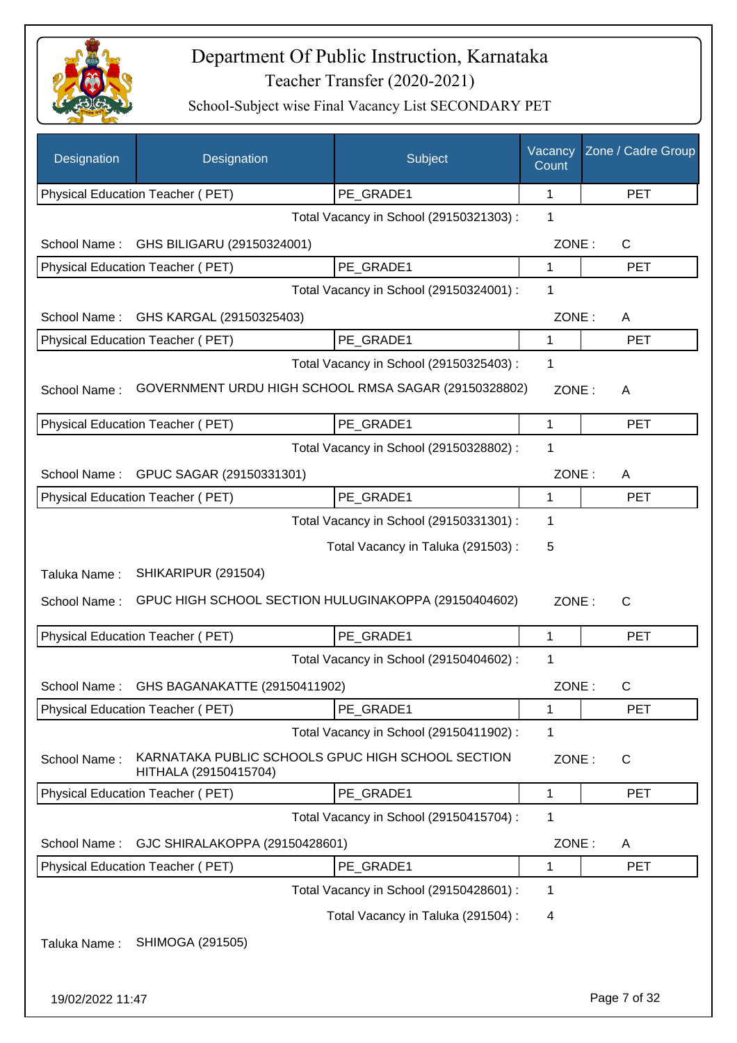

| Designation  | Designation                                                                | Subject                                 | Vacancy<br>Count | Zone / Cadre Group |
|--------------|----------------------------------------------------------------------------|-----------------------------------------|------------------|--------------------|
|              | Physical Education Teacher (PET)                                           | PE_GRADE1                               | 1                | <b>PET</b>         |
|              |                                                                            | Total Vacancy in School (29150321303) : | 1                |                    |
| School Name: | GHS BILIGARU (29150324001)                                                 |                                         | ZONE:            | C                  |
|              | Physical Education Teacher (PET)                                           | PE_GRADE1                               | 1                | <b>PET</b>         |
|              |                                                                            | Total Vacancy in School (29150324001) : | $\mathbf 1$      |                    |
| School Name: | GHS KARGAL (29150325403)                                                   |                                         | ZONE:            | A                  |
|              | Physical Education Teacher (PET)                                           | PE_GRADE1                               | 1                | <b>PET</b>         |
|              |                                                                            | Total Vacancy in School (29150325403) : | $\mathbf 1$      |                    |
| School Name: | GOVERNMENT URDU HIGH SCHOOL RMSA SAGAR (29150328802)                       |                                         | ZONE:            | A                  |
|              | Physical Education Teacher (PET)                                           | PE_GRADE1                               | $\mathbf 1$      | <b>PET</b>         |
|              |                                                                            | Total Vacancy in School (29150328802) : | 1                |                    |
|              | School Name: GPUC SAGAR (29150331301)                                      |                                         | ZONE:            | A                  |
|              | Physical Education Teacher (PET)                                           | PE_GRADE1                               | 1                | <b>PET</b>         |
|              |                                                                            | Total Vacancy in School (29150331301) : | $\mathbf 1$      |                    |
|              |                                                                            | Total Vacancy in Taluka (291503):       | 5                |                    |
| Taluka Name: | SHIKARIPUR (291504)                                                        |                                         |                  |                    |
| School Name: | GPUC HIGH SCHOOL SECTION HULUGINAKOPPA (29150404602)                       |                                         | ZONE:            | $\mathsf{C}$       |
|              | <b>Physical Education Teacher (PET)</b>                                    | PE GRADE1                               | 1                | <b>PET</b>         |
|              |                                                                            | Total Vacancy in School (29150404602) : | 1                |                    |
|              | School Name: GHS BAGANAKATTE (29150411902)                                 |                                         | ZONE:            | C                  |
|              | <b>Physical Education Teacher (PET)</b>                                    | PE_GRADE1                               | 1                | <b>PET</b>         |
|              |                                                                            | Total Vacancy in School (29150411902) : | $\mathbf 1$      |                    |
| School Name: | KARNATAKA PUBLIC SCHOOLS GPUC HIGH SCHOOL SECTION<br>HITHALA (29150415704) |                                         | ZONE:            | C                  |
|              | <b>Physical Education Teacher (PET)</b>                                    | PE_GRADE1                               | 1                | <b>PET</b>         |
|              |                                                                            | Total Vacancy in School (29150415704) : | $\mathbf 1$      |                    |
| School Name: | GJC SHIRALAKOPPA (29150428601)                                             |                                         | ZONE:            | A                  |
|              | Physical Education Teacher (PET)                                           | PE GRADE1                               | 1                | <b>PET</b>         |
|              |                                                                            | Total Vacancy in School (29150428601) : | $\mathbf 1$      |                    |
|              |                                                                            | Total Vacancy in Taluka (291504) :      | 4                |                    |
| Taluka Name: | SHIMOGA (291505)                                                           |                                         |                  |                    |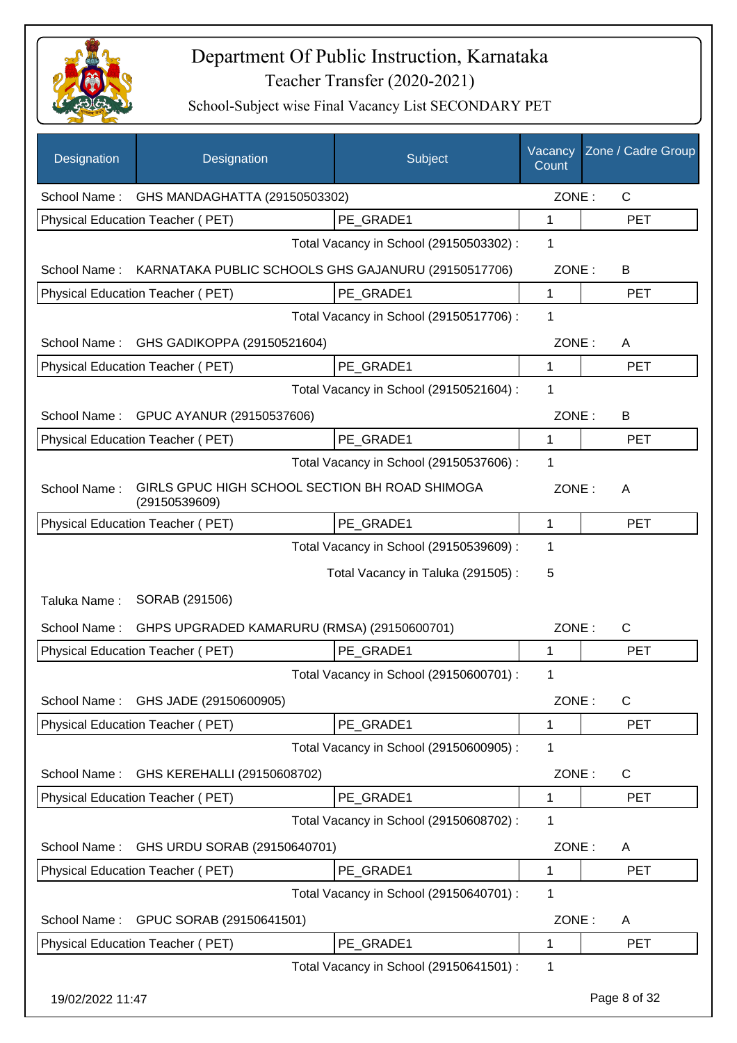

| Designation      | Designation                                                     | Subject                                 | Vacancy<br>Count | Zone / Cadre Group |
|------------------|-----------------------------------------------------------------|-----------------------------------------|------------------|--------------------|
| School Name:     | GHS MANDAGHATTA (29150503302)                                   |                                         | ZONE:            | $\mathsf{C}$       |
|                  | Physical Education Teacher (PET)                                | PE GRADE1                               | 1                | <b>PET</b>         |
|                  |                                                                 | Total Vacancy in School (29150503302) : | 1                |                    |
| School Name:     | KARNATAKA PUBLIC SCHOOLS GHS GAJANURU (29150517706)             |                                         | ZONE:            | B                  |
|                  | Physical Education Teacher (PET)                                | PE_GRADE1                               | 1                | <b>PET</b>         |
|                  |                                                                 | Total Vacancy in School (29150517706) : | 1                |                    |
| School Name:     | GHS GADIKOPPA (29150521604)                                     |                                         | ZONE:            | A                  |
|                  | Physical Education Teacher (PET)                                | PE_GRADE1                               | 1                | <b>PET</b>         |
|                  |                                                                 | Total Vacancy in School (29150521604) : | 1                |                    |
| School Name:     | GPUC AYANUR (29150537606)                                       |                                         | ZONE:            | B                  |
|                  | Physical Education Teacher (PET)                                | PE GRADE1                               | 1                | <b>PET</b>         |
|                  |                                                                 | Total Vacancy in School (29150537606) : | 1                |                    |
| School Name:     | GIRLS GPUC HIGH SCHOOL SECTION BH ROAD SHIMOGA<br>(29150539609) |                                         | ZONE:            | A                  |
|                  | Physical Education Teacher (PET)                                | PE_GRADE1                               | 1                | <b>PET</b>         |
|                  |                                                                 | Total Vacancy in School (29150539609) : | 1                |                    |
|                  |                                                                 | Total Vacancy in Taluka (291505):       | 5                |                    |
| Taluka Name:     | SORAB (291506)                                                  |                                         |                  |                    |
| School Name:     | GHPS UPGRADED KAMARURU (RMSA) (29150600701)                     |                                         | ZONE:            | C                  |
|                  | Physical Education Teacher (PET)                                | PE GRADE1                               | 1                | <b>PET</b>         |
|                  |                                                                 | Total Vacancy in School (29150600701) : | 1                |                    |
|                  | School Name: GHS JADE (29150600905)                             |                                         | ZONE:            | C                  |
|                  | Physical Education Teacher (PET)                                | PE_GRADE1                               | 1                | <b>PET</b>         |
|                  |                                                                 | Total Vacancy in School (29150600905) : | 1                |                    |
| School Name:     | GHS KEREHALLI (29150608702)                                     |                                         | ZONE:            | C                  |
|                  | Physical Education Teacher (PET)                                | PE_GRADE1                               | 1                | <b>PET</b>         |
|                  |                                                                 | Total Vacancy in School (29150608702) : | 1                |                    |
| School Name:     | GHS URDU SORAB (29150640701)                                    |                                         | ZONE:            | A                  |
|                  | Physical Education Teacher (PET)                                | PE_GRADE1                               | 1                | <b>PET</b>         |
|                  |                                                                 | Total Vacancy in School (29150640701) : | 1                |                    |
| School Name:     | GPUC SORAB (29150641501)                                        |                                         | ZONE:            | A                  |
|                  | Physical Education Teacher (PET)                                | PE_GRADE1                               | 1                | <b>PET</b>         |
|                  |                                                                 | Total Vacancy in School (29150641501) : | 1                |                    |
| 19/02/2022 11:47 |                                                                 |                                         |                  | Page 8 of 32       |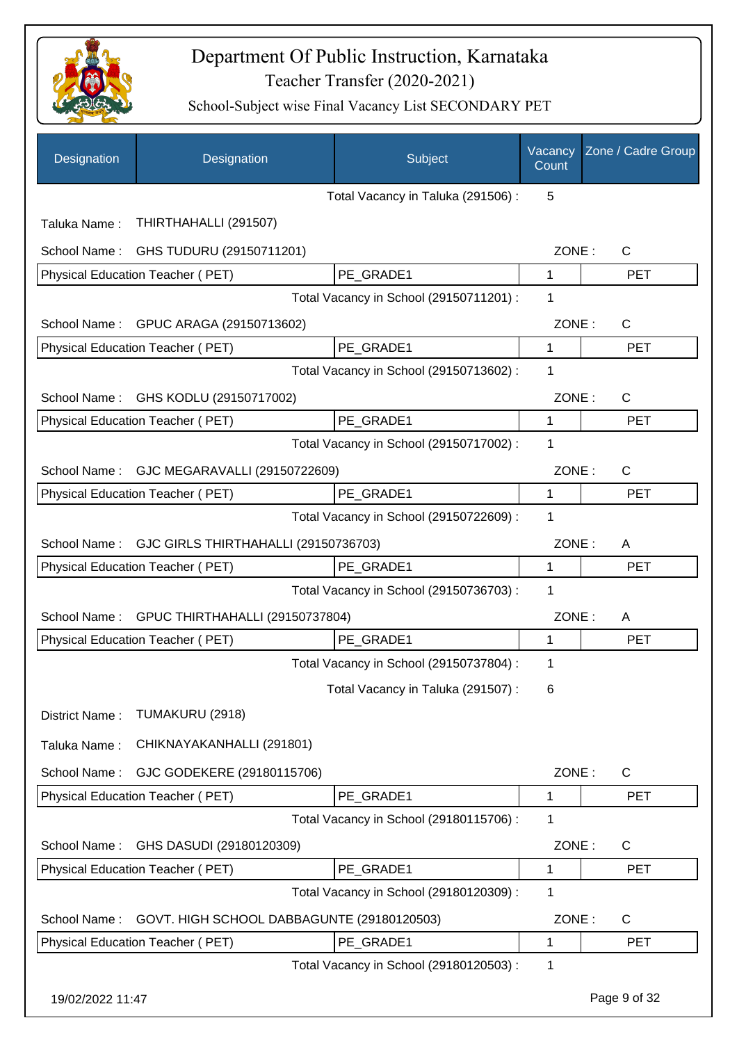

| Designation      | Designation                                | Subject                                 | Vacancy<br>Count | Zone / Cadre Group |
|------------------|--------------------------------------------|-----------------------------------------|------------------|--------------------|
|                  |                                            | Total Vacancy in Taluka (291506) :      | 5                |                    |
| Taluka Name:     | THIRTHAHALLI (291507)                      |                                         |                  |                    |
| School Name:     | GHS TUDURU (29150711201)                   |                                         | ZONE:            | $\mathsf{C}$       |
|                  | Physical Education Teacher (PET)           | PE_GRADE1                               | $\mathbf{1}$     | <b>PET</b>         |
|                  |                                            | Total Vacancy in School (29150711201) : | 1                |                    |
|                  | School Name: GPUC ARAGA (29150713602)      |                                         | ZONE:            | C                  |
|                  | Physical Education Teacher (PET)           | PE_GRADE1                               | 1                | <b>PET</b>         |
|                  |                                            | Total Vacancy in School (29150713602) : | 1                |                    |
| School Name:     | GHS KODLU (29150717002)                    |                                         | ZONE:            | $\mathsf{C}$       |
|                  | <b>Physical Education Teacher (PET)</b>    | PE_GRADE1                               | 1                | <b>PET</b>         |
|                  |                                            | Total Vacancy in School (29150717002) : | 1                |                    |
| School Name:     | GJC MEGARAVALLI (29150722609)              |                                         | ZONE:            | $\mathsf{C}$       |
|                  | Physical Education Teacher (PET)           | PE_GRADE1                               | 1                | <b>PET</b>         |
|                  |                                            | Total Vacancy in School (29150722609) : | 1                |                    |
| School Name:     | GJC GIRLS THIRTHAHALLI (29150736703)       |                                         | ZONE:            | A                  |
|                  | Physical Education Teacher (PET)           | PE GRADE1                               | 1                | <b>PET</b>         |
|                  |                                            | Total Vacancy in School (29150736703) : | 1                |                    |
| School Name:     | GPUC THIRTHAHALLI (29150737804)            |                                         | ZONE:            | A                  |
|                  | Physical Education Teacher (PET)           | PE_GRADE1                               | 1                | <b>PET</b>         |
|                  |                                            | Total Vacancy in School (29150737804) : | 1                |                    |
|                  |                                            | Total Vacancy in Taluka (291507) :      | 6                |                    |
| District Name:   | TUMAKURU (2918)                            |                                         |                  |                    |
| Taluka Name:     | CHIKNAYAKANHALLI (291801)                  |                                         |                  |                    |
| School Name:     | GJC GODEKERE (29180115706)                 |                                         | ZONE:            | $\mathsf{C}$       |
|                  | Physical Education Teacher (PET)           | PE GRADE1                               | 1                | <b>PET</b>         |
|                  |                                            | Total Vacancy in School (29180115706) : | 1                |                    |
| School Name:     | GHS DASUDI (29180120309)                   |                                         | ZONE:            | C                  |
|                  | Physical Education Teacher (PET)           | PE_GRADE1                               | 1                | <b>PET</b>         |
|                  |                                            | Total Vacancy in School (29180120309) : | 1                |                    |
| School Name:     | GOVT. HIGH SCHOOL DABBAGUNTE (29180120503) |                                         | ZONE:            | C                  |
|                  | Physical Education Teacher (PET)           | PE_GRADE1                               | 1                | <b>PET</b>         |
|                  |                                            | Total Vacancy in School (29180120503) : | 1                |                    |
| 19/02/2022 11:47 |                                            |                                         |                  | Page 9 of 32       |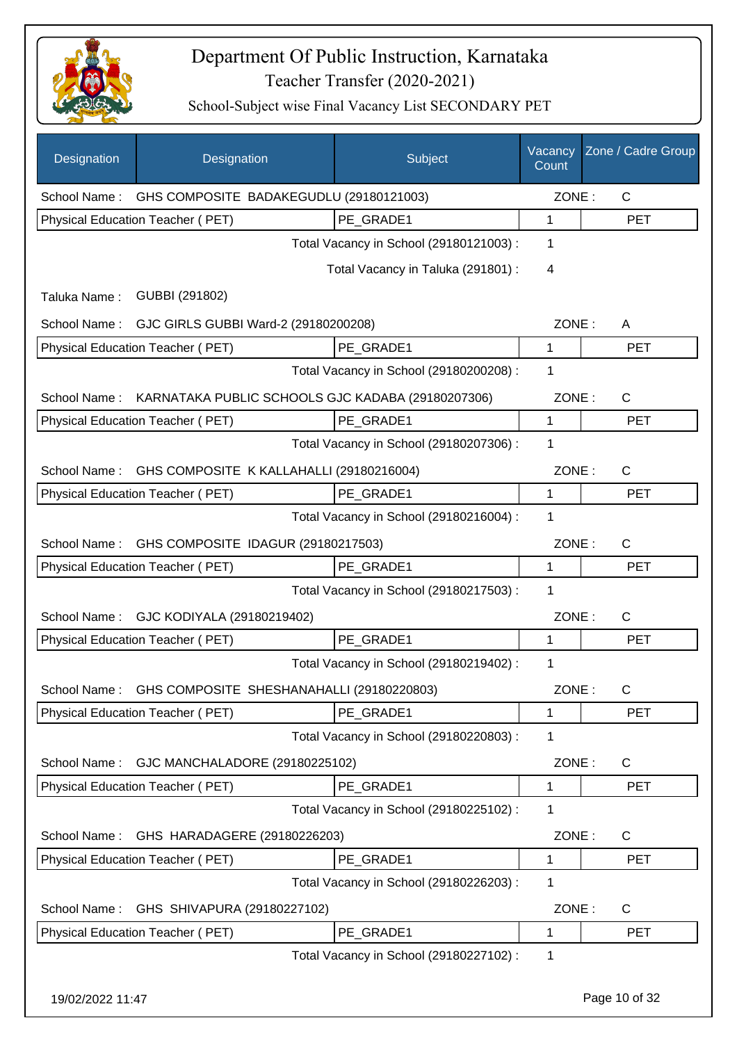

| Designation      | Designation                                       | Subject                                 | Vacancy<br>Count | Zone / Cadre Group |
|------------------|---------------------------------------------------|-----------------------------------------|------------------|--------------------|
| School Name:     | GHS COMPOSITE BADAKEGUDLU (29180121003)           |                                         | ZONE:            | $\mathsf{C}$       |
|                  | Physical Education Teacher (PET)                  | PE_GRADE1                               | 1                | <b>PET</b>         |
|                  |                                                   | Total Vacancy in School (29180121003) : | $\mathbf 1$      |                    |
|                  |                                                   | Total Vacancy in Taluka (291801) :      | 4                |                    |
| Taluka Name:     | GUBBI (291802)                                    |                                         |                  |                    |
|                  | School Name: GJC GIRLS GUBBI Ward-2 (29180200208) |                                         | ZONE:            | A                  |
|                  | Physical Education Teacher (PET)                  | PE_GRADE1                               | 1                | <b>PET</b>         |
|                  |                                                   | Total Vacancy in School (29180200208) : | 1                |                    |
| School Name:     | KARNATAKA PUBLIC SCHOOLS GJC KADABA (29180207306) |                                         | ZONE:            | $\mathsf{C}$       |
|                  | <b>Physical Education Teacher (PET)</b>           | PE_GRADE1                               | 1                | <b>PET</b>         |
|                  |                                                   | Total Vacancy in School (29180207306) : | 1                |                    |
| School Name:     | GHS COMPOSITE K KALLAHALLI (29180216004)          |                                         | ZONE:            | $\mathsf{C}$       |
|                  | Physical Education Teacher (PET)                  | PE GRADE1                               | 1                | <b>PET</b>         |
|                  |                                                   | Total Vacancy in School (29180216004) : | 1                |                    |
| School Name:     | GHS COMPOSITE IDAGUR (29180217503)                |                                         | ZONE:            | $\mathsf{C}$       |
|                  | Physical Education Teacher (PET)                  | PE GRADE1                               | 1                | <b>PET</b>         |
|                  |                                                   | Total Vacancy in School (29180217503) : | 1                |                    |
| School Name:     | GJC KODIYALA (29180219402)                        |                                         | ZONE:            | $\mathsf{C}$       |
|                  | Physical Education Teacher (PET)                  | PE_GRADE1                               | 1                | <b>PET</b>         |
|                  |                                                   | Total Vacancy in School (29180219402) : | 1                |                    |
| School Name:     | GHS COMPOSITE SHESHANAHALLI (29180220803)         |                                         | ZONE:            | C                  |
|                  | <b>Physical Education Teacher (PET)</b>           | PE_GRADE1                               | 1                | <b>PET</b>         |
|                  |                                                   | Total Vacancy in School (29180220803) : | 1                |                    |
| School Name:     | GJC MANCHALADORE (29180225102)                    |                                         | ZONE:            | C                  |
|                  | Physical Education Teacher (PET)                  | PE_GRADE1                               | 1                | <b>PET</b>         |
|                  |                                                   | Total Vacancy in School (29180225102) : | 1                |                    |
| School Name:     | GHS HARADAGERE (29180226203)                      |                                         | ZONE:            | C                  |
|                  | Physical Education Teacher (PET)                  | PE_GRADE1                               | 1                | <b>PET</b>         |
|                  |                                                   | Total Vacancy in School (29180226203) : | 1                |                    |
| School Name:     | GHS SHIVAPURA (29180227102)                       |                                         | ZONE:            | C                  |
|                  | Physical Education Teacher (PET)                  | PE GRADE1                               | 1                | <b>PET</b>         |
|                  |                                                   | Total Vacancy in School (29180227102) : | 1                |                    |
| 19/02/2022 11:47 |                                                   |                                         |                  | Page 10 of 32      |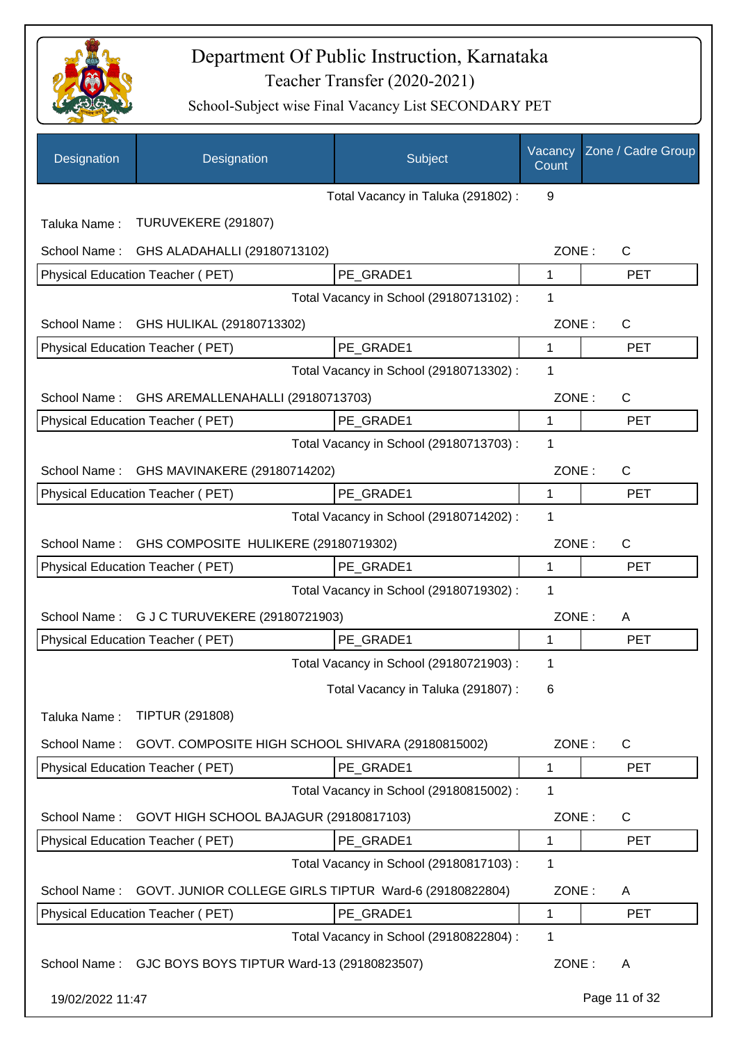

| Designation      | Designation                                             | Subject                                 | Vacancy<br>Count | Zone / Cadre Group |
|------------------|---------------------------------------------------------|-----------------------------------------|------------------|--------------------|
|                  |                                                         | Total Vacancy in Taluka (291802) :      | 9                |                    |
| Taluka Name:     | TURUVEKERE (291807)                                     |                                         |                  |                    |
| School Name:     | GHS ALADAHALLI (29180713102)                            |                                         | ZONE:            | $\mathsf{C}$       |
|                  | Physical Education Teacher (PET)                        | PE GRADE1                               | $\mathbf{1}$     | <b>PET</b>         |
|                  |                                                         | Total Vacancy in School (29180713102) : | 1                |                    |
| School Name:     | GHS HULIKAL (29180713302)                               |                                         | ZONE:            | $\mathsf{C}$       |
|                  | Physical Education Teacher (PET)                        | PE_GRADE1                               | $\mathbf{1}$     | <b>PET</b>         |
|                  |                                                         | Total Vacancy in School (29180713302) : | 1                |                    |
| School Name:     | GHS AREMALLENAHALLI (29180713703)                       |                                         | ZONE:            | C                  |
|                  | Physical Education Teacher (PET)                        | PE_GRADE1                               | 1                | <b>PET</b>         |
|                  |                                                         | Total Vacancy in School (29180713703) : | 1                |                    |
| School Name:     | GHS MAVINAKERE (29180714202)                            |                                         | ZONE:            | $\mathsf{C}$       |
|                  | Physical Education Teacher (PET)                        | PE GRADE1                               | 1                | <b>PET</b>         |
|                  |                                                         | Total Vacancy in School (29180714202) : | 1                |                    |
| School Name:     | GHS COMPOSITE HULIKERE (29180719302)                    |                                         | ZONE:            | $\mathsf{C}$       |
|                  | Physical Education Teacher (PET)                        | PE_GRADE1                               | 1                | <b>PET</b>         |
|                  |                                                         | Total Vacancy in School (29180719302) : | 1                |                    |
| School Name:     | G J C TURUVEKERE (29180721903)                          |                                         | ZONE:            | A                  |
|                  | Physical Education Teacher (PET)                        | PE GRADE1                               | 1                | <b>PET</b>         |
|                  |                                                         | Total Vacancy in School (29180721903) : | 1                |                    |
|                  |                                                         | Total Vacancy in Taluka (291807):       | 6                |                    |
| Taluka Name:     | <b>TIPTUR (291808)</b>                                  |                                         |                  |                    |
| School Name:     | GOVT. COMPOSITE HIGH SCHOOL SHIVARA (29180815002)       |                                         | ZONE:            | $\mathsf{C}$       |
|                  | <b>Physical Education Teacher (PET)</b>                 | PE_GRADE1                               | 1                | <b>PET</b>         |
|                  |                                                         | Total Vacancy in School (29180815002) : | 1                |                    |
| School Name:     | GOVT HIGH SCHOOL BAJAGUR (29180817103)                  |                                         | ZONE:            | C                  |
|                  | Physical Education Teacher (PET)                        | PE_GRADE1                               | 1                | <b>PET</b>         |
|                  |                                                         | Total Vacancy in School (29180817103):  | 1                |                    |
| School Name:     | GOVT. JUNIOR COLLEGE GIRLS TIPTUR Ward-6 (29180822804)  |                                         | ZONE:            | A                  |
|                  | Physical Education Teacher (PET)                        | PE GRADE1                               | 1                | <b>PET</b>         |
|                  |                                                         | Total Vacancy in School (29180822804) : | 1                |                    |
|                  | School Name: GJC BOYS BOYS TIPTUR Ward-13 (29180823507) |                                         | ZONE:            | A                  |
| 19/02/2022 11:47 |                                                         |                                         |                  | Page 11 of 32      |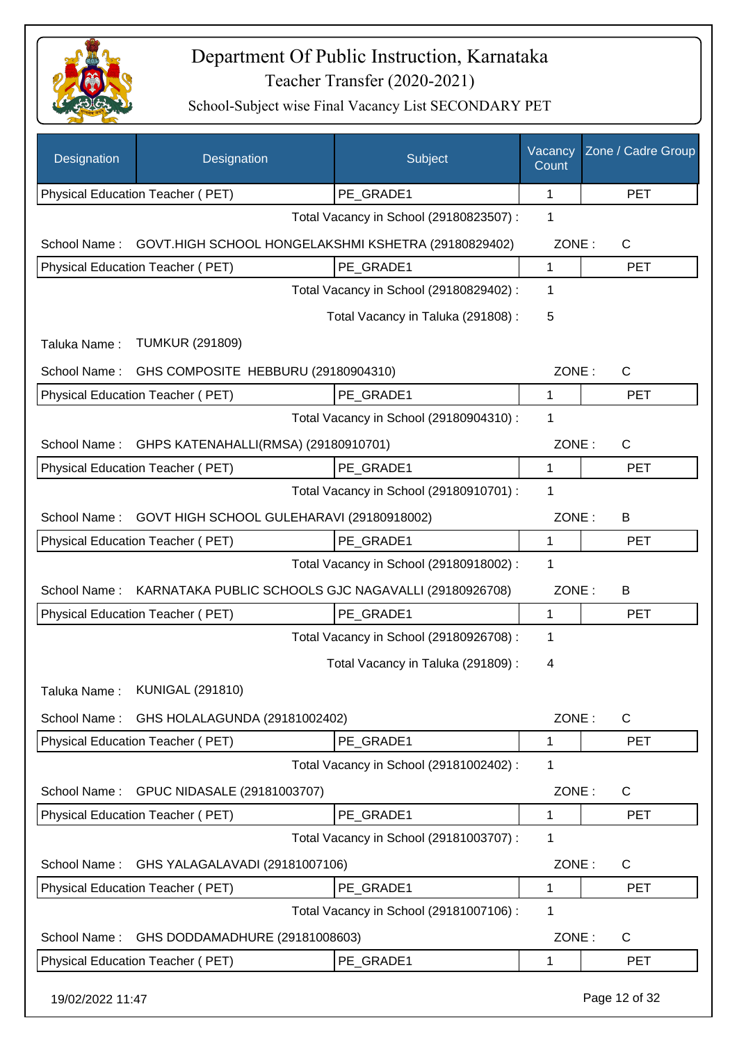

| Designation      | Designation                                          | Subject                                 | Vacancy<br>Count | Zone / Cadre Group |
|------------------|------------------------------------------------------|-----------------------------------------|------------------|--------------------|
|                  | Physical Education Teacher (PET)                     | PE GRADE1                               | 1                | <b>PET</b>         |
|                  |                                                      | Total Vacancy in School (29180823507) : | 1                |                    |
| School Name:     | GOVT.HIGH SCHOOL HONGELAKSHMI KSHETRA (29180829402)  |                                         | ZONE:            | $\mathsf{C}$       |
|                  | Physical Education Teacher (PET)                     | PE GRADE1                               | 1                | <b>PET</b>         |
|                  |                                                      | Total Vacancy in School (29180829402) : | 1                |                    |
|                  |                                                      | Total Vacancy in Taluka (291808) :      | 5                |                    |
| Taluka Name:     | <b>TUMKUR (291809)</b>                               |                                         |                  |                    |
| School Name:     | GHS COMPOSITE HEBBURU (29180904310)                  |                                         | ZONE:            | $\mathsf{C}$       |
|                  | Physical Education Teacher (PET)                     | PE GRADE1                               | $\mathbf 1$      | <b>PET</b>         |
|                  |                                                      | Total Vacancy in School (29180904310) : | 1                |                    |
| School Name:     | GHPS KATENAHALLI(RMSA) (29180910701)                 |                                         | ZONE:            | $\mathsf{C}$       |
|                  | <b>Physical Education Teacher (PET)</b>              | PE_GRADE1                               | 1                | <b>PET</b>         |
|                  |                                                      | Total Vacancy in School (29180910701) : | $\mathbf{1}$     |                    |
| School Name:     | GOVT HIGH SCHOOL GULEHARAVI (29180918002)            |                                         | ZONE:            | B                  |
|                  | Physical Education Teacher (PET)                     | PE GRADE1                               | 1                | <b>PET</b>         |
|                  |                                                      | Total Vacancy in School (29180918002) : | $\mathbf 1$      |                    |
| School Name:     | KARNATAKA PUBLIC SCHOOLS GJC NAGAVALLI (29180926708) |                                         | ZONE:            | B                  |
|                  | Physical Education Teacher (PET)                     | PE GRADE1                               | 1                | <b>PET</b>         |
|                  |                                                      | Total Vacancy in School (29180926708) : | $\mathbf 1$      |                    |
|                  |                                                      | Total Vacancy in Taluka (291809):       | 4                |                    |
| Taluka Name:     | <b>KUNIGAL (291810)</b>                              |                                         |                  |                    |
| School Name:     | GHS HOLALAGUNDA (29181002402)                        |                                         | ZONE:            | C                  |
|                  | Physical Education Teacher (PET)                     | PE_GRADE1                               | 1                | <b>PET</b>         |
|                  |                                                      | Total Vacancy in School (29181002402) : | 1                |                    |
| School Name:     | GPUC NIDASALE (29181003707)                          |                                         | ZONE:            | C                  |
|                  | Physical Education Teacher (PET)                     | PE GRADE1                               | 1                | <b>PET</b>         |
|                  |                                                      | Total Vacancy in School (29181003707) : | 1                |                    |
| School Name:     | GHS YALAGALAVADI (29181007106)                       |                                         | ZONE:            | $\mathsf{C}$       |
|                  | Physical Education Teacher (PET)                     | PE_GRADE1                               | 1                | <b>PET</b>         |
|                  |                                                      | Total Vacancy in School (29181007106) : | 1                |                    |
| School Name:     | GHS DODDAMADHURE (29181008603)                       |                                         | ZONE:            | $\mathsf{C}$       |
|                  | Physical Education Teacher (PET)                     | PE_GRADE1                               | 1                | <b>PET</b>         |
| 19/02/2022 11:47 |                                                      |                                         |                  | Page 12 of 32      |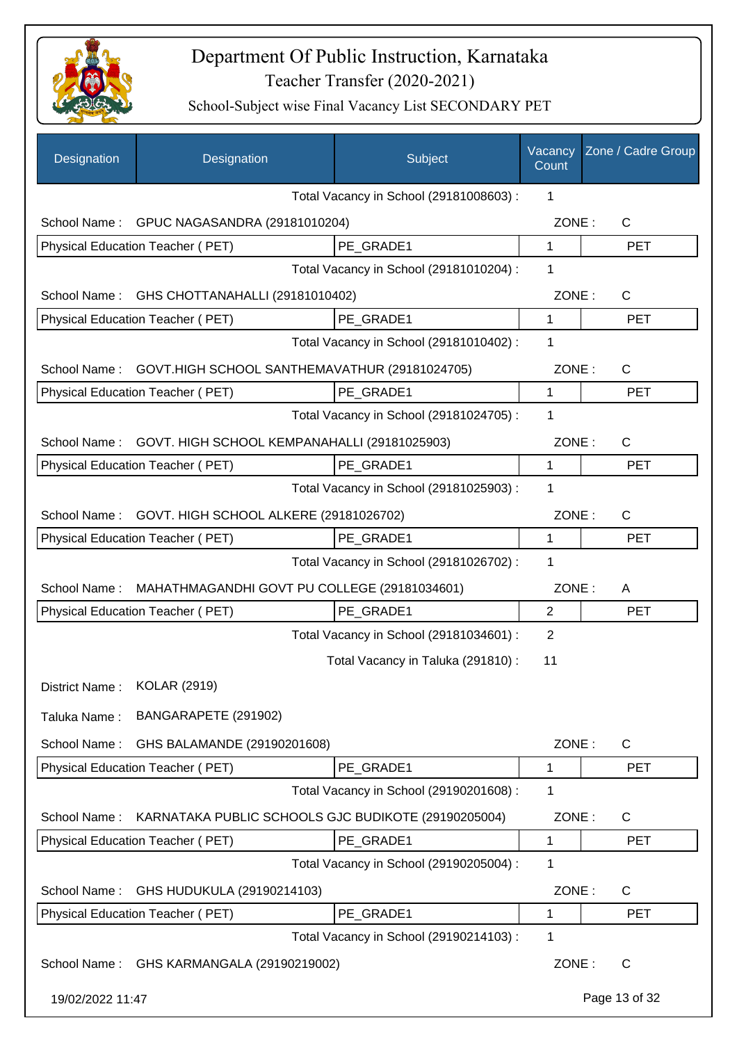

| Designation      | Designation                                         | Subject                                              | Vacancy<br>Count | Zone / Cadre Group |
|------------------|-----------------------------------------------------|------------------------------------------------------|------------------|--------------------|
|                  |                                                     | Total Vacancy in School (29181008603) :              | 1                |                    |
| School Name:     | GPUC NAGASANDRA (29181010204)                       |                                                      | ZONE:            | $\mathsf{C}$       |
|                  | Physical Education Teacher (PET)                    | PE GRADE1                                            | $\mathbf{1}$     | <b>PET</b>         |
|                  |                                                     | Total Vacancy in School (29181010204) :              | 1                |                    |
|                  | School Name: GHS CHOTTANAHALLI (29181010402)        |                                                      | ZONE:            | C                  |
|                  | Physical Education Teacher (PET)                    | PE_GRADE1                                            | $\mathbf{1}$     | <b>PET</b>         |
|                  |                                                     | Total Vacancy in School (29181010402) :              | 1                |                    |
| School Name:     | GOVT.HIGH SCHOOL SANTHEMAVATHUR (29181024705)       |                                                      | ZONE:            | C                  |
|                  | Physical Education Teacher (PET)                    | PE_GRADE1                                            | 1                | <b>PET</b>         |
|                  |                                                     | Total Vacancy in School (29181024705) :              | 1                |                    |
| School Name:     | GOVT. HIGH SCHOOL KEMPANAHALLI (29181025903)        |                                                      | ZONE:            | C                  |
|                  | Physical Education Teacher (PET)                    | PE GRADE1                                            | 1                | <b>PET</b>         |
|                  |                                                     | Total Vacancy in School (29181025903) :              | $\mathbf 1$      |                    |
| School Name:     | GOVT. HIGH SCHOOL ALKERE (29181026702)              |                                                      | ZONE:            | C                  |
|                  | Physical Education Teacher (PET)                    | PE_GRADE1                                            | 1                | <b>PET</b>         |
|                  |                                                     | Total Vacancy in School (29181026702) :              | 1                |                    |
| School Name:     | MAHATHMAGANDHI GOVT PU COLLEGE (29181034601)        |                                                      | ZONE:            | A                  |
|                  | Physical Education Teacher (PET)                    | PE_GRADE1                                            | 2                | <b>PET</b>         |
|                  |                                                     | Total Vacancy in School (29181034601) :              | $\overline{2}$   |                    |
|                  |                                                     | Total Vacancy in Taluka (291810) :                   | 11               |                    |
| District Name:   | <b>KOLAR (2919)</b>                                 |                                                      |                  |                    |
| Taluka Name:     | BANGARAPETE (291902)                                |                                                      |                  |                    |
|                  |                                                     |                                                      |                  |                    |
| School Name:     | GHS BALAMANDE (29190201608)                         |                                                      | ZONE:            | $\mathsf{C}$       |
|                  | <b>Physical Education Teacher (PET)</b>             | PE GRADE1<br>Total Vacancy in School (29190201608) : | 1                | <b>PET</b>         |
|                  |                                                     |                                                      | 1                |                    |
| School Name:     | KARNATAKA PUBLIC SCHOOLS GJC BUDIKOTE (29190205004) |                                                      | ZONE:            | $\mathsf{C}$       |
|                  | Physical Education Teacher (PET)                    | PE GRADE1                                            | 1                | <b>PET</b>         |
|                  |                                                     | Total Vacancy in School (29190205004) :              | 1                |                    |
| School Name:     | GHS HUDUKULA (29190214103)                          |                                                      | ZONE:            | C                  |
|                  | Physical Education Teacher (PET)                    | PE_GRADE1                                            | 1                | <b>PET</b>         |
|                  |                                                     | Total Vacancy in School (29190214103) :              | 1                |                    |
| School Name:     | GHS KARMANGALA (29190219002)                        |                                                      | ZONE:            | C                  |
| 19/02/2022 11:47 |                                                     |                                                      |                  | Page 13 of 32      |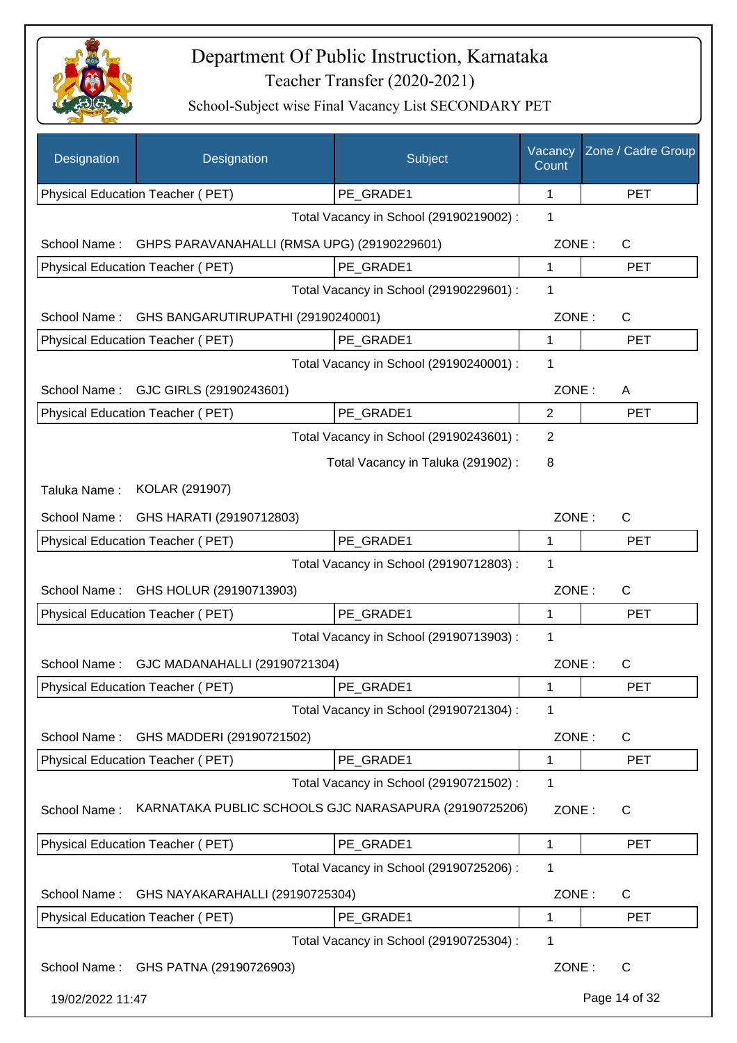

| Designation      | Designation                                           | Subject                                 | Vacancy<br>Count | Zone / Cadre Group |
|------------------|-------------------------------------------------------|-----------------------------------------|------------------|--------------------|
|                  | Physical Education Teacher (PET)                      | PE_GRADE1                               | 1                | <b>PET</b>         |
|                  |                                                       | Total Vacancy in School (29190219002) : | 1                |                    |
| School Name:     | GHPS PARAVANAHALLI (RMSA UPG) (29190229601)           |                                         | ZONE:            | C                  |
|                  | Physical Education Teacher (PET)                      | PE_GRADE1                               | 1                | <b>PET</b>         |
|                  |                                                       | Total Vacancy in School (29190229601) : | 1                |                    |
| School Name:     | GHS BANGARUTIRUPATHI (29190240001)                    |                                         | ZONE:            | C                  |
|                  | Physical Education Teacher (PET)                      | PE_GRADE1                               | 1                | <b>PET</b>         |
|                  |                                                       | Total Vacancy in School (29190240001) : | 1                |                    |
| School Name:     | GJC GIRLS (29190243601)                               |                                         | ZONE:            | A                  |
|                  | Physical Education Teacher (PET)                      | PE GRADE1                               | $\overline{2}$   | <b>PET</b>         |
|                  |                                                       | Total Vacancy in School (29190243601) : | 2                |                    |
|                  |                                                       | Total Vacancy in Taluka (291902):       | 8                |                    |
| Taluka Name:     | KOLAR (291907)                                        |                                         |                  |                    |
| School Name:     | GHS HARATI (29190712803)                              |                                         | ZONE:            | $\mathsf C$        |
|                  | Physical Education Teacher (PET)                      | PE_GRADE1                               | 1                | <b>PET</b>         |
|                  |                                                       | Total Vacancy in School (29190712803) : | 1                |                    |
| School Name:     | GHS HOLUR (29190713903)                               |                                         | ZONE:            | C                  |
|                  | Physical Education Teacher (PET)                      | PE GRADE1                               | 1                | <b>PET</b>         |
|                  |                                                       | Total Vacancy in School (29190713903) : | 1                |                    |
|                  | School Name: GJC MADANAHALLI (29190721304)            |                                         | ZONE:            | $\mathsf{C}$       |
|                  | Physical Education Teacher (PET)                      | PE_GRADE1                               | 1                | <b>PET</b>         |
|                  |                                                       | Total Vacancy in School (29190721304) : | 1                |                    |
| School Name:     | GHS MADDERI (29190721502)                             |                                         | ZONE:            | C                  |
|                  | Physical Education Teacher (PET)                      | PE_GRADE1                               | 1                | <b>PET</b>         |
|                  |                                                       | Total Vacancy in School (29190721502) : | 1                |                    |
| School Name:     | KARNATAKA PUBLIC SCHOOLS GJC NARASAPURA (29190725206) |                                         | ZONE:            | C                  |
|                  | <b>Physical Education Teacher (PET)</b>               | PE GRADE1                               | 1                | <b>PET</b>         |
|                  |                                                       | Total Vacancy in School (29190725206) : | 1                |                    |
| School Name:     | GHS NAYAKARAHALLI (29190725304)                       |                                         | ZONE:            | $\mathsf{C}$       |
|                  | Physical Education Teacher (PET)                      | PE_GRADE1                               | 1                | <b>PET</b>         |
|                  |                                                       | Total Vacancy in School (29190725304) : | 1                |                    |
|                  | School Name: GHS PATNA (29190726903)                  |                                         | ZONE:            | $\mathsf{C}$       |
| 19/02/2022 11:47 |                                                       |                                         |                  | Page 14 of 32      |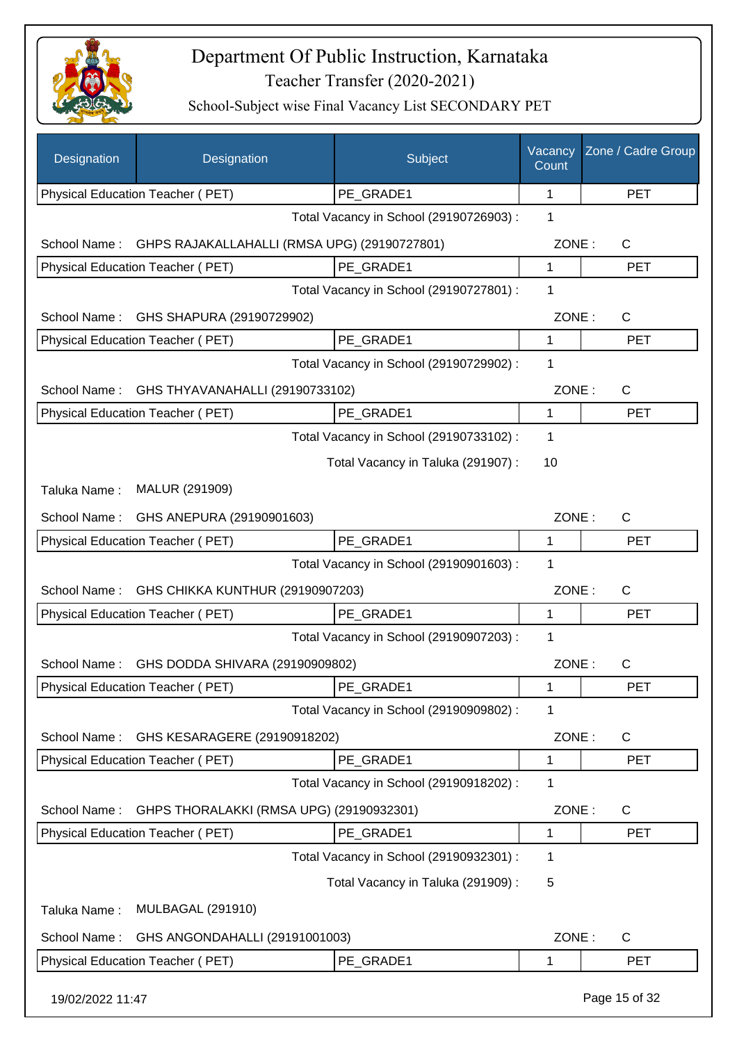

| Designation      | Designation                                  | Subject                                 | Vacancy<br>Count | Zone / Cadre Group |
|------------------|----------------------------------------------|-----------------------------------------|------------------|--------------------|
|                  | Physical Education Teacher (PET)             | PE_GRADE1                               | 1                | <b>PET</b>         |
|                  |                                              | Total Vacancy in School (29190726903) : | 1                |                    |
| School Name:     | GHPS RAJAKALLAHALLI (RMSA UPG) (29190727801) |                                         | ZONE:            | C                  |
|                  | Physical Education Teacher (PET)             | PE_GRADE1                               | 1                | <b>PET</b>         |
|                  |                                              | Total Vacancy in School (29190727801) : | 1                |                    |
| School Name:     | GHS SHAPURA (29190729902)                    |                                         | ZONE:            | C                  |
|                  | Physical Education Teacher (PET)             | PE GRADE1                               | 1                | <b>PET</b>         |
|                  |                                              | Total Vacancy in School (29190729902) : | 1                |                    |
| School Name:     | GHS THYAVANAHALLI (29190733102)              |                                         | ZONE:            | $\mathsf{C}$       |
|                  | Physical Education Teacher (PET)             | PE GRADE1                               | 1                | <b>PET</b>         |
|                  |                                              | Total Vacancy in School (29190733102) : | 1                |                    |
|                  |                                              | Total Vacancy in Taluka (291907):       | 10               |                    |
| Taluka Name:     | MALUR (291909)                               |                                         |                  |                    |
| School Name:     | GHS ANEPURA (29190901603)                    |                                         | ZONE:            | C                  |
|                  | Physical Education Teacher (PET)             | PE_GRADE1                               | 1                | <b>PET</b>         |
|                  |                                              | Total Vacancy in School (29190901603) : | 1                |                    |
| School Name:     | GHS CHIKKA KUNTHUR (29190907203)             |                                         | ZONE:            | $\mathsf{C}$       |
|                  | Physical Education Teacher (PET)             | PE_GRADE1                               | 1                | <b>PET</b>         |
|                  |                                              | Total Vacancy in School (29190907203) : | 1                |                    |
| School Name:     | GHS DODDA SHIVARA (29190909802)              |                                         | ZONE:            | $\mathsf C$        |
|                  | Physical Education Teacher (PET)             | PE_GRADE1                               | 1                | PET                |
|                  |                                              | Total Vacancy in School (29190909802) : | 1                |                    |
| School Name:     | GHS KESARAGERE (29190918202)                 |                                         | ZONE:            | C                  |
|                  | Physical Education Teacher (PET)             | PE_GRADE1                               | 1                | <b>PET</b>         |
|                  |                                              | Total Vacancy in School (29190918202) : | 1                |                    |
| School Name:     | GHPS THORALAKKI (RMSA UPG) (29190932301)     |                                         | ZONE:            | C                  |
|                  | Physical Education Teacher (PET)             | PE_GRADE1                               | 1                | <b>PET</b>         |
|                  |                                              | Total Vacancy in School (29190932301) : | 1                |                    |
|                  |                                              | Total Vacancy in Taluka (291909):       | 5                |                    |
|                  |                                              |                                         |                  |                    |
| Taluka Name:     | <b>MULBAGAL (291910)</b>                     |                                         |                  |                    |
| School Name:     | GHS ANGONDAHALLI (29191001003)               |                                         | ZONE:            | C                  |
|                  | Physical Education Teacher (PET)             | PE_GRADE1                               | 1                | <b>PET</b>         |
| 19/02/2022 11:47 |                                              |                                         |                  | Page 15 of 32      |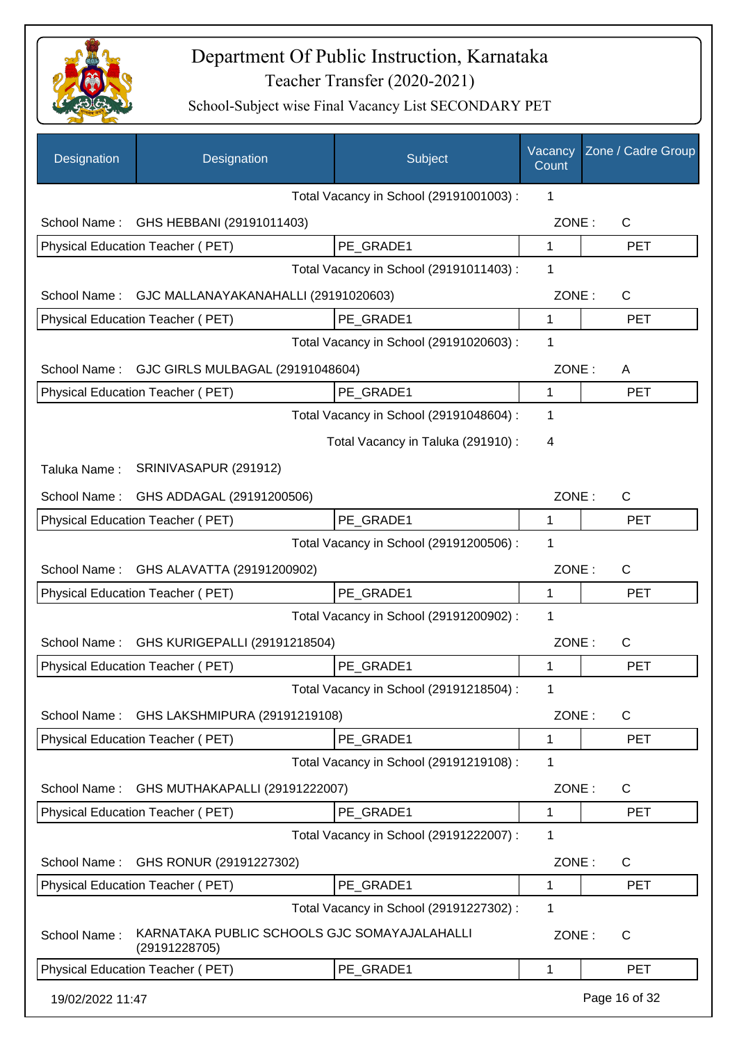

| Designation      | Designation                                                   | Subject                                 | Vacancy<br>Count | Zone / Cadre Group |
|------------------|---------------------------------------------------------------|-----------------------------------------|------------------|--------------------|
|                  |                                                               | Total Vacancy in School (29191001003) : | 1                |                    |
| School Name:     | GHS HEBBANI (29191011403)                                     |                                         | ZONE:            | $\mathsf{C}$       |
|                  | Physical Education Teacher (PET)                              | PE GRADE1                               | 1                | <b>PET</b>         |
|                  |                                                               | Total Vacancy in School (29191011403) : | 1                |                    |
| School Name:     | GJC MALLANAYAKANAHALLI (29191020603)                          |                                         | ZONE:            | C                  |
|                  | Physical Education Teacher (PET)                              | PE GRADE1                               | $\mathbf 1$      | <b>PET</b>         |
|                  |                                                               | Total Vacancy in School (29191020603) : | 1                |                    |
| School Name:     | GJC GIRLS MULBAGAL (29191048604)                              |                                         | ZONE:            | A                  |
|                  | Physical Education Teacher (PET)                              | PE_GRADE1                               | 1                | <b>PET</b>         |
|                  |                                                               | Total Vacancy in School (29191048604) : | 1                |                    |
|                  |                                                               | Total Vacancy in Taluka (291910):       | 4                |                    |
| Taluka Name:     | SRINIVASAPUR (291912)                                         |                                         |                  |                    |
| School Name:     | GHS ADDAGAL (29191200506)                                     |                                         | ZONE:            | C                  |
|                  | Physical Education Teacher (PET)                              | PE_GRADE1                               | 1                | <b>PET</b>         |
|                  |                                                               | Total Vacancy in School (29191200506) : | 1                |                    |
| School Name:     | GHS ALAVATTA (29191200902)                                    |                                         | ZONE:            | C                  |
|                  | Physical Education Teacher (PET)                              | PE_GRADE1                               | 1                | <b>PET</b>         |
|                  |                                                               | Total Vacancy in School (29191200902) : | 1                |                    |
| School Name:     | GHS KURIGEPALLI (29191218504)                                 |                                         | ZONE:            | C                  |
|                  | Physical Education Teacher (PET)                              | PE_GRADE1                               | 1                | <b>PET</b>         |
|                  |                                                               | Total Vacancy in School (29191218504) : | 1                |                    |
| School Name:     | GHS LAKSHMIPURA (29191219108)                                 |                                         | ZONE:            | C                  |
|                  | Physical Education Teacher (PET)                              | PE_GRADE1                               | 1                | <b>PET</b>         |
|                  |                                                               | Total Vacancy in School (29191219108) : | 1                |                    |
| School Name:     | GHS MUTHAKAPALLI (29191222007)                                |                                         | ZONE:            | C                  |
|                  | Physical Education Teacher (PET)                              | PE_GRADE1                               | 1                | <b>PET</b>         |
|                  |                                                               | Total Vacancy in School (29191222007) : | 1                |                    |
| School Name:     | GHS RONUR (29191227302)                                       |                                         | ZONE:            | $\mathsf{C}$       |
|                  | Physical Education Teacher (PET)                              | PE_GRADE1                               | 1                | <b>PET</b>         |
|                  |                                                               | Total Vacancy in School (29191227302) : | 1                |                    |
| School Name:     | KARNATAKA PUBLIC SCHOOLS GJC SOMAYAJALAHALLI<br>(29191228705) |                                         | ZONE:            | $\mathsf{C}$       |
|                  | Physical Education Teacher (PET)                              | PE_GRADE1                               | 1                | <b>PET</b>         |
| 19/02/2022 11:47 |                                                               |                                         |                  | Page 16 of 32      |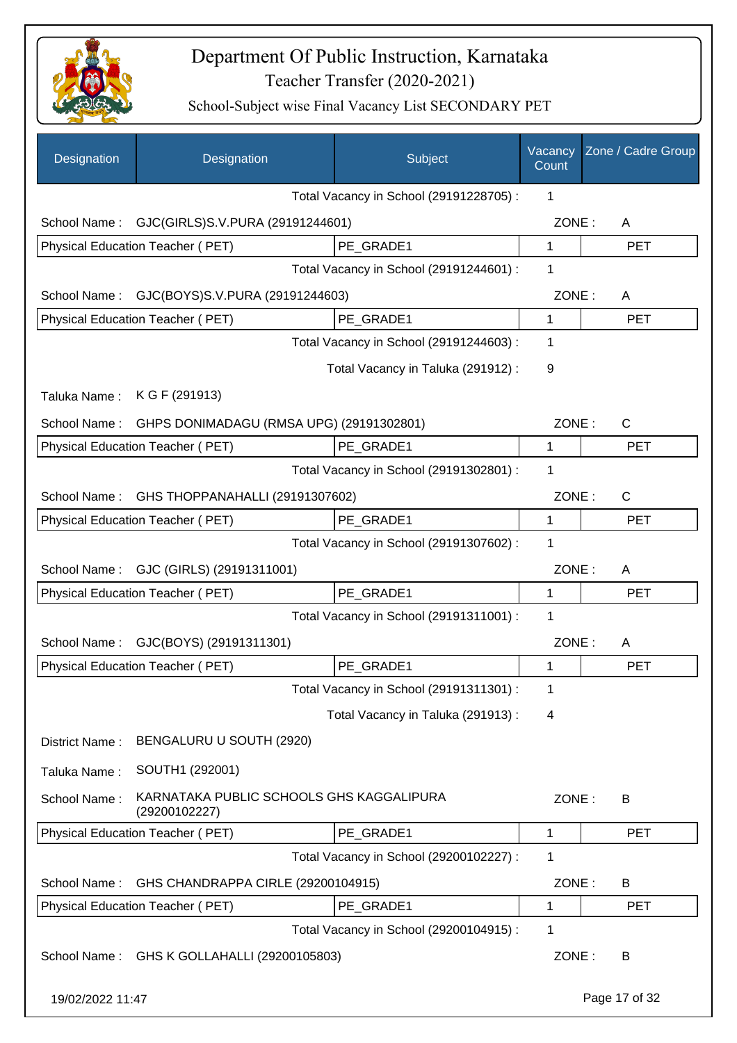

| Designation      | Designation                                               | Subject                                 | Vacancy<br>Count | Zone / Cadre Group |
|------------------|-----------------------------------------------------------|-----------------------------------------|------------------|--------------------|
|                  |                                                           | Total Vacancy in School (29191228705) : | 1                |                    |
|                  | School Name: GJC(GIRLS)S.V.PURA (29191244601)             |                                         | ZONE:            | A                  |
|                  | Physical Education Teacher (PET)                          | PE_GRADE1                               | 1                | <b>PET</b>         |
|                  |                                                           | Total Vacancy in School (29191244601) : | 1                |                    |
| School Name:     | GJC(BOYS)S.V.PURA (29191244603)                           |                                         | ZONE:            | A                  |
|                  | Physical Education Teacher (PET)                          | PE GRADE1                               | $\mathbf{1}$     | <b>PET</b>         |
|                  |                                                           | Total Vacancy in School (29191244603) : | 1                |                    |
|                  |                                                           | Total Vacancy in Taluka (291912) :      | 9                |                    |
| Taluka Name:     | K G F (291913)                                            |                                         |                  |                    |
| School Name:     | GHPS DONIMADAGU (RMSA UPG) (29191302801)                  |                                         | ZONE:            | C                  |
|                  | <b>Physical Education Teacher (PET)</b>                   | PE_GRADE1                               | 1                | <b>PET</b>         |
|                  |                                                           | Total Vacancy in School (29191302801) : | 1                |                    |
| School Name:     | GHS THOPPANAHALLI (29191307602)                           |                                         | ZONE:            | C                  |
|                  | Physical Education Teacher (PET)                          | PE GRADE1                               | $\mathbf{1}$     | <b>PET</b>         |
|                  |                                                           | Total Vacancy in School (29191307602) : | 1                |                    |
| School Name:     | GJC (GIRLS) (29191311001)                                 |                                         | ZONE:            | A                  |
|                  | Physical Education Teacher (PET)                          | PE_GRADE1                               | 1                | <b>PET</b>         |
|                  |                                                           | Total Vacancy in School (29191311001) : | $\mathbf 1$      |                    |
| School Name:     | GJC(BOYS) (29191311301)                                   |                                         | ZONE:            | A                  |
|                  | Physical Education Teacher (PET)                          | PE_GRADE1                               | 1                | <b>PET</b>         |
|                  |                                                           | Total Vacancy in School (29191311301) : | 1                |                    |
|                  |                                                           | Total Vacancy in Taluka (291913):       | 4                |                    |
| District Name:   | BENGALURU U SOUTH (2920)                                  |                                         |                  |                    |
| Taluka Name:     | SOUTH1 (292001)                                           |                                         |                  |                    |
| School Name:     | KARNATAKA PUBLIC SCHOOLS GHS KAGGALIPURA<br>(29200102227) |                                         | ZONE:            | B                  |
|                  | Physical Education Teacher (PET)                          | PE_GRADE1                               | 1                | <b>PET</b>         |
|                  |                                                           | Total Vacancy in School (29200102227) : | 1                |                    |
| School Name:     | GHS CHANDRAPPA CIRLE (29200104915)                        |                                         | ZONE:            | B                  |
|                  | Physical Education Teacher (PET)                          | PE_GRADE1                               | 1                | <b>PET</b>         |
|                  |                                                           | Total Vacancy in School (29200104915) : | 1                |                    |
| School Name:     | GHS K GOLLAHALLI (29200105803)                            |                                         | ZONE:            | B                  |
| 19/02/2022 11:47 |                                                           |                                         |                  | Page 17 of 32      |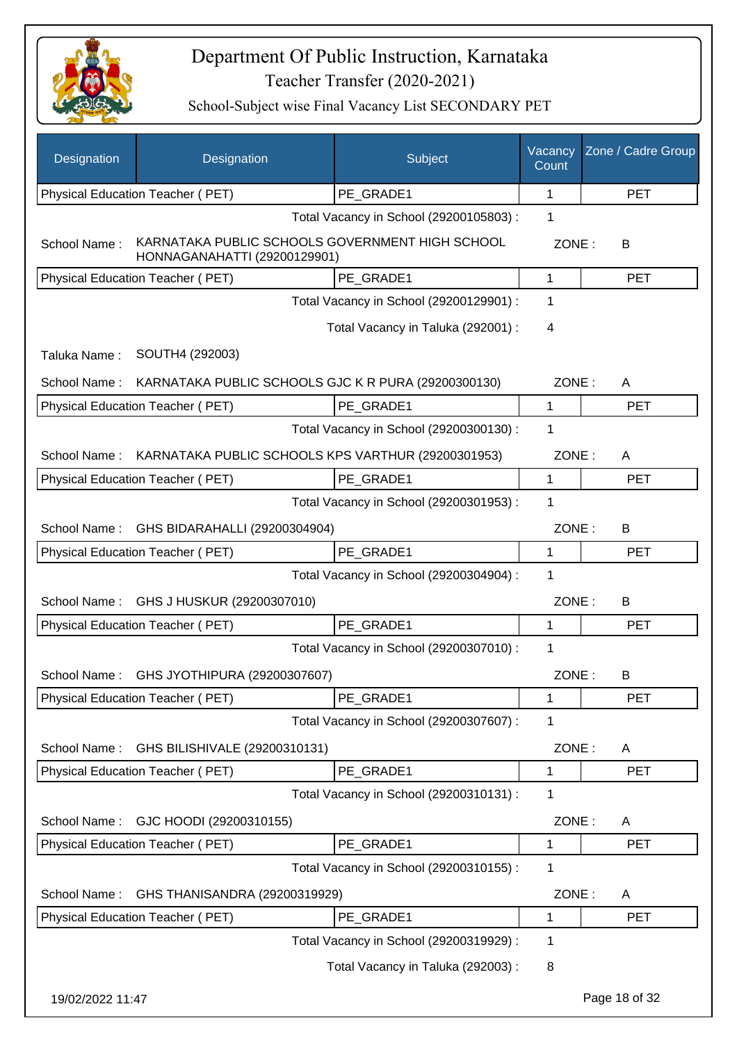

| Designation      | Designation                                                                     | Subject                                 | Vacancy<br>Count | Zone / Cadre Group |
|------------------|---------------------------------------------------------------------------------|-----------------------------------------|------------------|--------------------|
|                  | Physical Education Teacher (PET)                                                | PE_GRADE1                               | 1                | <b>PET</b>         |
|                  |                                                                                 | Total Vacancy in School (29200105803) : | 1                |                    |
| School Name:     | KARNATAKA PUBLIC SCHOOLS GOVERNMENT HIGH SCHOOL<br>HONNAGANAHATTI (29200129901) |                                         | ZONE:            | В                  |
|                  | <b>Physical Education Teacher (PET)</b>                                         | PE GRADE1                               | $\mathbf{1}$     | <b>PET</b>         |
|                  |                                                                                 | Total Vacancy in School (29200129901) : | 1                |                    |
|                  |                                                                                 | Total Vacancy in Taluka (292001) :      | 4                |                    |
| Taluka Name:     | SOUTH4 (292003)                                                                 |                                         |                  |                    |
| School Name:     | KARNATAKA PUBLIC SCHOOLS GJC K R PURA (29200300130)                             |                                         | ZONE:            | A                  |
|                  | Physical Education Teacher (PET)                                                | PE_GRADE1                               | $\mathbf 1$      | <b>PET</b>         |
|                  |                                                                                 | Total Vacancy in School (29200300130) : | $\mathbf{1}$     |                    |
| School Name:     | KARNATAKA PUBLIC SCHOOLS KPS VARTHUR (29200301953)                              |                                         | ZONE:            | A                  |
|                  | Physical Education Teacher (PET)                                                | PE GRADE1                               | $\mathbf 1$      | <b>PET</b>         |
|                  |                                                                                 | Total Vacancy in School (29200301953) : | 1                |                    |
| School Name:     | GHS BIDARAHALLI (29200304904)                                                   |                                         | ZONE:            | B                  |
|                  | Physical Education Teacher (PET)                                                | PE GRADE1                               | 1                | <b>PET</b>         |
|                  |                                                                                 | Total Vacancy in School (29200304904) : | $\mathbf 1$      |                    |
| School Name:     | GHS J HUSKUR (29200307010)                                                      |                                         | ZONE:            | B                  |
|                  | Physical Education Teacher (PET)                                                | PE_GRADE1                               | 1                | <b>PET</b>         |
|                  |                                                                                 | Total Vacancy in School (29200307010) : | 1                |                    |
| School Name:     | GHS JYOTHIPURA (29200307607)                                                    |                                         | ZONE:            | B                  |
|                  | Physical Education Teacher (PET)                                                | PE_GRADE1                               | 1                | <b>PET</b>         |
|                  |                                                                                 | Total Vacancy in School (29200307607) : | 1                |                    |
| School Name:     | GHS BILISHIVALE (29200310131)                                                   |                                         | ZONE:            | A                  |
|                  | Physical Education Teacher (PET)                                                | PE_GRADE1                               | 1                | <b>PET</b>         |
|                  |                                                                                 | Total Vacancy in School (29200310131) : | 1                |                    |
| School Name:     | GJC HOODI (29200310155)                                                         |                                         | ZONE:            | A                  |
|                  | Physical Education Teacher (PET)                                                | PE_GRADE1                               | 1                | <b>PET</b>         |
|                  |                                                                                 | Total Vacancy in School (29200310155) : | $\mathbf 1$      |                    |
| School Name:     | GHS THANISANDRA (29200319929)                                                   |                                         | ZONE:            | A                  |
|                  | Physical Education Teacher (PET)                                                | PE_GRADE1                               | 1                | <b>PET</b>         |
|                  |                                                                                 | Total Vacancy in School (29200319929) : | $\mathbf 1$      |                    |
|                  |                                                                                 | Total Vacancy in Taluka (292003):       | 8                |                    |
| 19/02/2022 11:47 |                                                                                 |                                         |                  | Page 18 of 32      |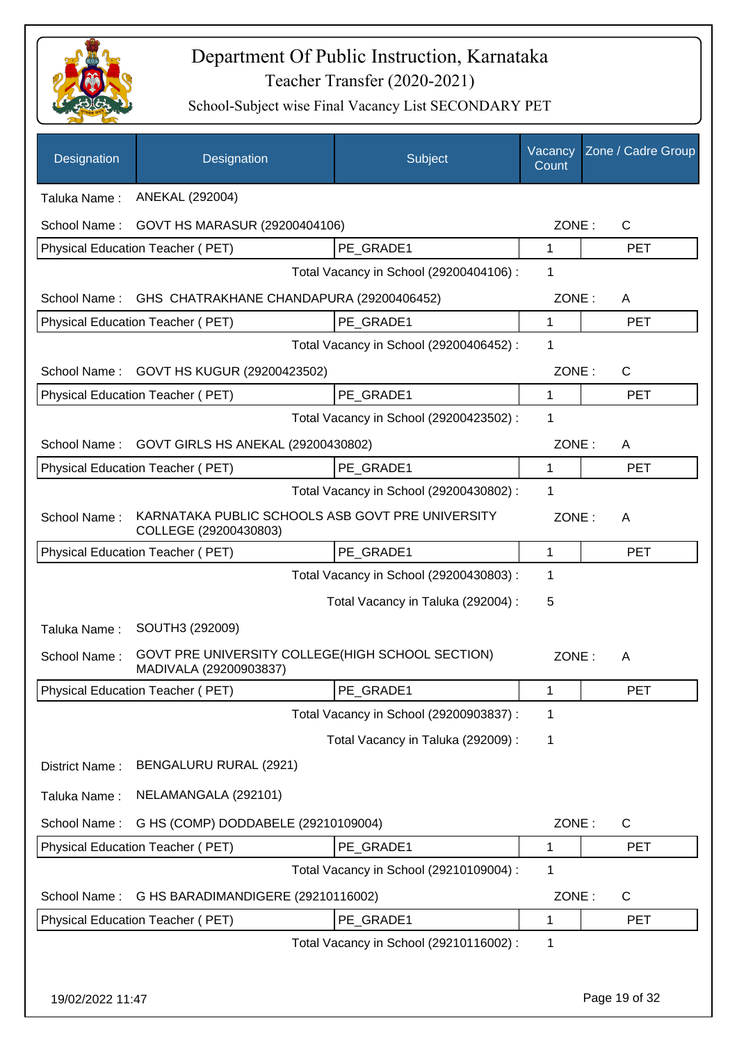

| Designation      | Designation                                                                | Subject                                 | Vacancy<br>Count | Zone / Cadre Group |
|------------------|----------------------------------------------------------------------------|-----------------------------------------|------------------|--------------------|
| Taluka Name:     | ANEKAL (292004)                                                            |                                         |                  |                    |
| School Name:     | GOVT HS MARASUR (29200404106)                                              |                                         | ZONE:            | $\mathsf{C}$       |
|                  | Physical Education Teacher (PET)                                           | PE GRADE1                               | 1                | <b>PET</b>         |
|                  |                                                                            | Total Vacancy in School (29200404106) : | 1                |                    |
| School Name:     | GHS CHATRAKHANE CHANDAPURA (29200406452)                                   |                                         | ZONE:            | A                  |
|                  | Physical Education Teacher (PET)                                           | PE GRADE1                               | $\mathbf 1$      | <b>PET</b>         |
|                  |                                                                            | Total Vacancy in School (29200406452) : | 1                |                    |
| School Name:     | GOVT HS KUGUR (29200423502)                                                |                                         | ZONE:            | $\mathsf{C}$       |
|                  | Physical Education Teacher (PET)                                           | PE GRADE1                               | $\mathbf 1$      | <b>PET</b>         |
|                  |                                                                            | Total Vacancy in School (29200423502) : | 1                |                    |
| School Name:     | GOVT GIRLS HS ANEKAL (29200430802)                                         |                                         | ZONE:            | A                  |
|                  | Physical Education Teacher (PET)                                           | PE GRADE1                               | 1                | <b>PET</b>         |
|                  |                                                                            | Total Vacancy in School (29200430802) : | 1                |                    |
| School Name:     | KARNATAKA PUBLIC SCHOOLS ASB GOVT PRE UNIVERSITY<br>COLLEGE (29200430803)  |                                         | ZONE:            | A                  |
|                  | Physical Education Teacher (PET)                                           | PE GRADE1                               | $\mathbf 1$      | <b>PET</b>         |
|                  |                                                                            | Total Vacancy in School (29200430803) : | 1                |                    |
|                  |                                                                            | Total Vacancy in Taluka (292004) :      | 5                |                    |
| Taluka Name:     | SOUTH3 (292009)                                                            |                                         |                  |                    |
| School Name:     | GOVT PRE UNIVERSITY COLLEGE(HIGH SCHOOL SECTION)<br>MADIVALA (29200903837) |                                         | ZONE:            | A                  |
|                  | Physical Education Teacher (PET)                                           | PE_GRADE1                               | 1                | PET                |
|                  |                                                                            | Total Vacancy in School (29200903837) : | 1                |                    |
|                  |                                                                            | Total Vacancy in Taluka (292009) :      | 1                |                    |
| District Name:   | BENGALURU RURAL (2921)                                                     |                                         |                  |                    |
| Taluka Name:     | NELAMANGALA (292101)                                                       |                                         |                  |                    |
| School Name:     | G HS (COMP) DODDABELE (29210109004)                                        |                                         | ZONE:            | C                  |
|                  | Physical Education Teacher (PET)                                           | PE_GRADE1                               | 1                | <b>PET</b>         |
|                  |                                                                            | Total Vacancy in School (29210109004) : | 1                |                    |
| School Name:     | G HS BARADIMANDIGERE (29210116002)                                         |                                         | ZONE:            | C                  |
|                  | Physical Education Teacher (PET)                                           | PE_GRADE1                               | $\mathbf 1$      | <b>PET</b>         |
|                  |                                                                            | Total Vacancy in School (29210116002) : | 1                |                    |
|                  |                                                                            |                                         |                  |                    |
| 19/02/2022 11:47 |                                                                            |                                         |                  | Page 19 of 32      |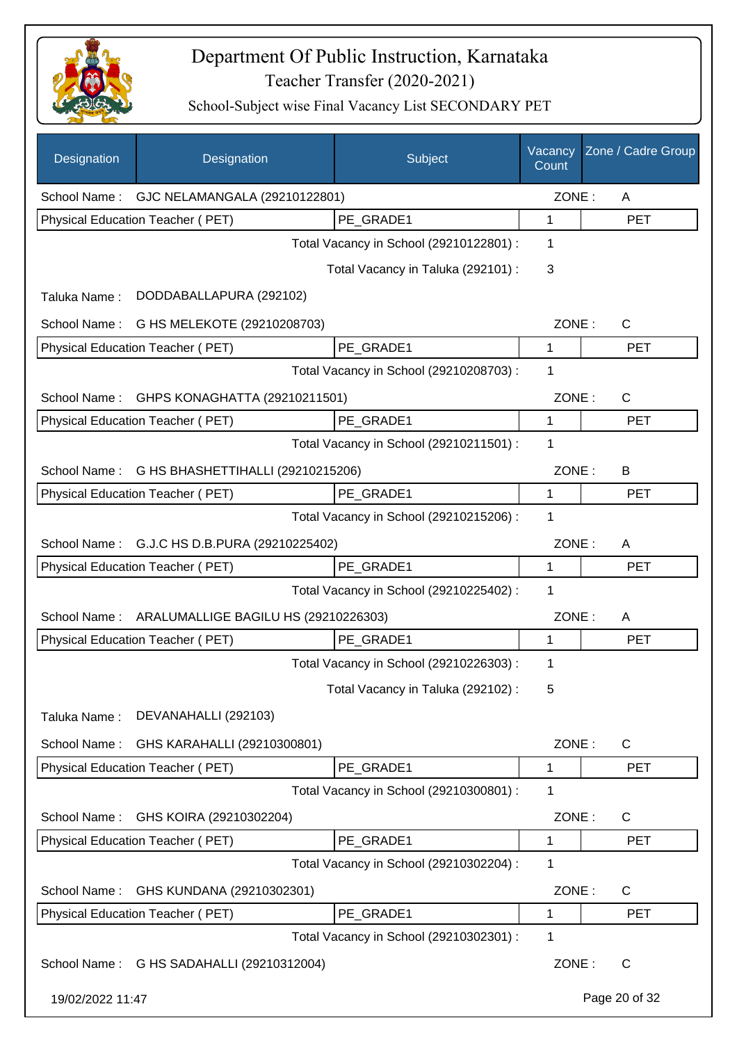

| Designation      | Designation                               | Subject                                 | Vacancy<br>Count | Zone / Cadre Group |
|------------------|-------------------------------------------|-----------------------------------------|------------------|--------------------|
| School Name:     | GJC NELAMANGALA (29210122801)             |                                         | ZONE:            | A                  |
|                  | Physical Education Teacher (PET)          | PE_GRADE1                               | 1                | <b>PET</b>         |
|                  |                                           | Total Vacancy in School (29210122801) : | 1                |                    |
|                  |                                           | Total Vacancy in Taluka (292101) :      | 3                |                    |
| Taluka Name:     | DODDABALLAPURA (292102)                   |                                         |                  |                    |
| School Name:     | G HS MELEKOTE (29210208703)               |                                         | ZONE:            | C                  |
|                  | Physical Education Teacher (PET)          | PE GRADE1                               | $\mathbf{1}$     | <b>PET</b>         |
|                  |                                           | Total Vacancy in School (29210208703) : | 1                |                    |
| School Name:     | GHPS KONAGHATTA (29210211501)             |                                         | ZONE:            | $\mathsf{C}$       |
|                  | Physical Education Teacher (PET)          | PE_GRADE1                               | 1                | <b>PET</b>         |
|                  |                                           | Total Vacancy in School (29210211501) : | 1                |                    |
| School Name:     | G HS BHASHETTIHALLI (29210215206)         |                                         | ZONE:            | B                  |
|                  | Physical Education Teacher (PET)          | PE_GRADE1                               | 1                | <b>PET</b>         |
|                  |                                           | Total Vacancy in School (29210215206) : | 1                |                    |
| School Name:     | G.J.C HS D.B.PURA (29210225402)           |                                         | ZONE:            | A                  |
|                  | Physical Education Teacher (PET)          | PE GRADE1                               | 1                | <b>PET</b>         |
|                  |                                           | Total Vacancy in School (29210225402) : | 1                |                    |
| School Name:     | ARALUMALLIGE BAGILU HS (29210226303)      |                                         | ZONE:            | A                  |
|                  | Physical Education Teacher (PET)          | PE_GRADE1                               | 1                | <b>PET</b>         |
|                  |                                           | Total Vacancy in School (29210226303) : | 1                |                    |
|                  |                                           | Total Vacancy in Taluka (292102):       | 5                |                    |
| Taluka Name:     | DEVANAHALLI (292103)                      |                                         |                  |                    |
| School Name:     | GHS KARAHALLI (29210300801)               |                                         | ZONE:            | $\mathsf{C}$       |
|                  | Physical Education Teacher (PET)          | PE_GRADE1                               | 1                | <b>PET</b>         |
|                  |                                           | Total Vacancy in School (29210300801) : | 1                |                    |
| School Name:     | GHS KOIRA (29210302204)                   |                                         | ZONE:            | C                  |
|                  | Physical Education Teacher (PET)          | PE_GRADE1                               | 1                | <b>PET</b>         |
|                  |                                           | Total Vacancy in School (29210302204) : | 1                |                    |
| School Name:     | GHS KUNDANA (29210302301)                 |                                         | ZONE:            | C                  |
|                  | Physical Education Teacher (PET)          | PE_GRADE1                               | 1                | <b>PET</b>         |
|                  |                                           | Total Vacancy in School (29210302301) : | 1                |                    |
|                  | School Name: G HS SADAHALLI (29210312004) |                                         | ZONE:            | $\mathsf{C}$       |
| 19/02/2022 11:47 |                                           |                                         |                  | Page 20 of 32      |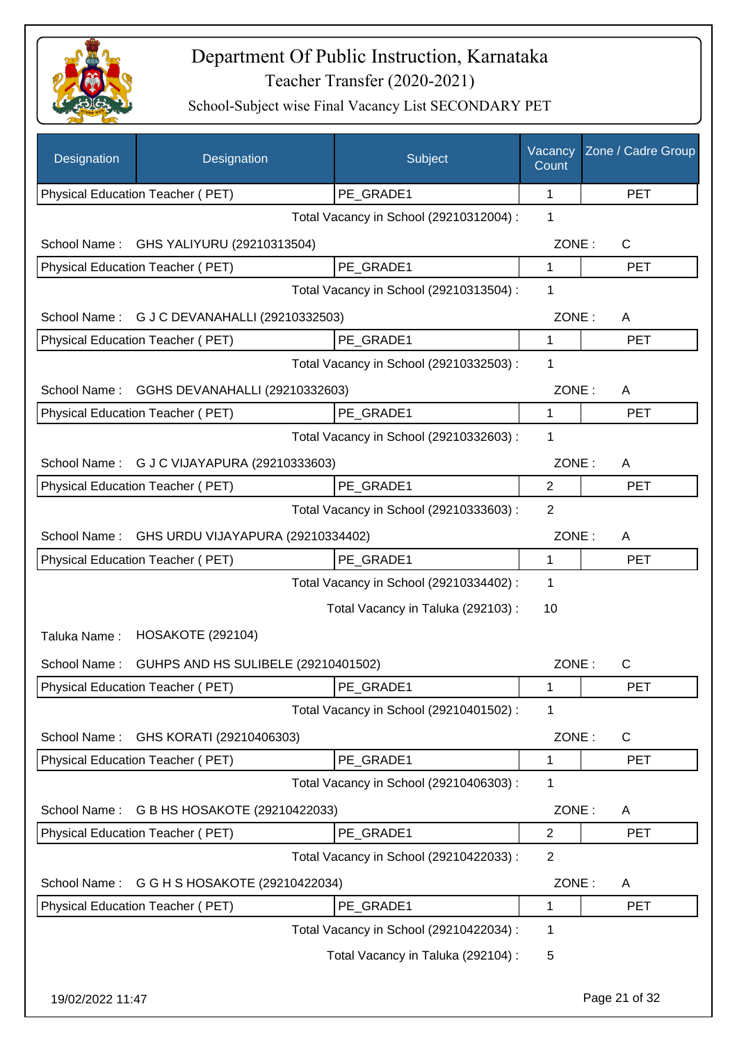

| Designation      | Designation                             | Subject                                 | Vacancy<br>Count | Zone / Cadre Group |
|------------------|-----------------------------------------|-----------------------------------------|------------------|--------------------|
|                  | Physical Education Teacher (PET)        | PE_GRADE1                               | 1                | <b>PET</b>         |
|                  |                                         | Total Vacancy in School (29210312004) : | 1                |                    |
| School Name:     | GHS YALIYURU (29210313504)              |                                         | ZONE:            | C                  |
|                  | Physical Education Teacher (PET)        | PE_GRADE1                               | 1                | <b>PET</b>         |
|                  |                                         | Total Vacancy in School (29210313504) : | 1                |                    |
| School Name:     | G J C DEVANAHALLI (29210332503)         |                                         | ZONE:            | A                  |
|                  | Physical Education Teacher (PET)        | PE_GRADE1                               | 1                | <b>PET</b>         |
|                  |                                         | Total Vacancy in School (29210332503) : | 1                |                    |
| School Name:     | GGHS DEVANAHALLI (29210332603)          |                                         | ZONE:            | A                  |
|                  | Physical Education Teacher (PET)        | PE GRADE1                               | 1                | <b>PET</b>         |
|                  |                                         | Total Vacancy in School (29210332603) : | 1                |                    |
| School Name:     | G J C VIJAYAPURA (29210333603)          |                                         | ZONE:            | A                  |
|                  | Physical Education Teacher (PET)        | PE GRADE1                               | $\overline{2}$   | <b>PET</b>         |
|                  |                                         | Total Vacancy in School (29210333603) : | $\overline{2}$   |                    |
| School Name:     | GHS URDU VIJAYAPURA (29210334402)       |                                         | ZONE:            | A                  |
|                  | Physical Education Teacher (PET)        | PE_GRADE1                               | $\mathbf{1}$     | <b>PET</b>         |
|                  |                                         | Total Vacancy in School (29210334402) : | 1                |                    |
|                  |                                         | Total Vacancy in Taluka (292103):       | 10               |                    |
| Taluka Name:     | <b>HOSAKOTE (292104)</b>                |                                         |                  |                    |
| School Name:     | GUHPS AND HS SULIBELE (29210401502)     |                                         | ZONE:            | $\mathsf{C}$       |
|                  | <b>Physical Education Teacher (PET)</b> | PE_GRADE1                               | 1                | PET                |
|                  |                                         | Total Vacancy in School (29210401502) : | 1                |                    |
| School Name:     | GHS KORATI (29210406303)                |                                         | ZONE:            | $\mathsf{C}$       |
|                  | Physical Education Teacher (PET)        | PE GRADE1                               | 1                | <b>PET</b>         |
|                  |                                         | Total Vacancy in School (29210406303) : | 1                |                    |
| School Name:     | G B HS HOSAKOTE (29210422033)           |                                         | ZONE:            | A                  |
|                  | Physical Education Teacher (PET)        | PE_GRADE1                               | $\overline{2}$   | <b>PET</b>         |
|                  |                                         | Total Vacancy in School (29210422033) : | $\overline{2}$   |                    |
| School Name:     | G G H S HOSAKOTE (29210422034)          |                                         | ZONE:            | A                  |
|                  | Physical Education Teacher (PET)        | PE_GRADE1                               | $\mathbf 1$      | <b>PET</b>         |
|                  |                                         | Total Vacancy in School (29210422034) : | 1                |                    |
|                  |                                         | Total Vacancy in Taluka (292104) :      | 5                |                    |
| 19/02/2022 11:47 |                                         |                                         |                  | Page 21 of 32      |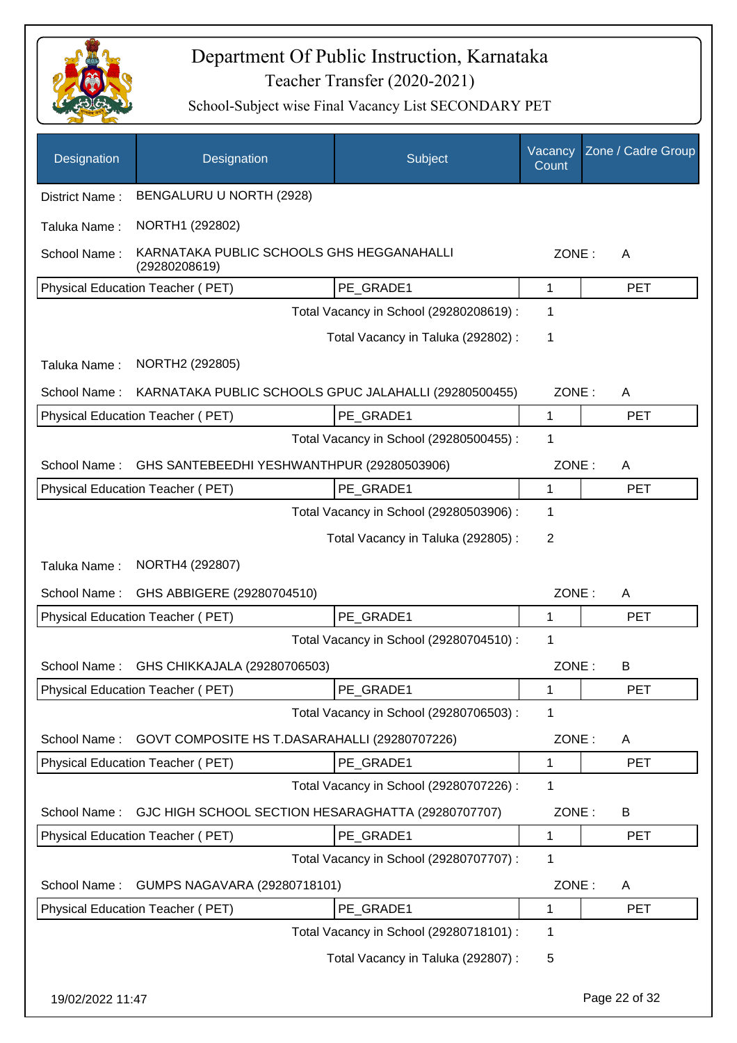

| Designation      | Designation                                                | Subject                                 | Vacancy<br>Count | Zone / Cadre Group |
|------------------|------------------------------------------------------------|-----------------------------------------|------------------|--------------------|
| District Name:   | BENGALURU U NORTH (2928)                                   |                                         |                  |                    |
| Taluka Name:     | NORTH1 (292802)                                            |                                         |                  |                    |
| School Name:     | KARNATAKA PUBLIC SCHOOLS GHS HEGGANAHALLI<br>(29280208619) |                                         | ZONE:            | A                  |
|                  | Physical Education Teacher (PET)                           | PE_GRADE1                               | 1                | <b>PET</b>         |
|                  |                                                            | Total Vacancy in School (29280208619) : | 1                |                    |
|                  |                                                            | Total Vacancy in Taluka (292802) :      | 1                |                    |
| Taluka Name:     | NORTH2 (292805)                                            |                                         |                  |                    |
| School Name:     | KARNATAKA PUBLIC SCHOOLS GPUC JALAHALLI (29280500455)      |                                         | ZONE:            | A                  |
|                  | Physical Education Teacher (PET)                           | PE GRADE1                               | 1                | <b>PET</b>         |
|                  |                                                            | Total Vacancy in School (29280500455) : | 1                |                    |
| School Name:     | GHS SANTEBEEDHI YESHWANTHPUR (29280503906)                 |                                         | ZONE:            | A                  |
|                  | Physical Education Teacher (PET)                           | PE_GRADE1                               | 1                | <b>PET</b>         |
|                  |                                                            | Total Vacancy in School (29280503906) : | 1                |                    |
|                  |                                                            | Total Vacancy in Taluka (292805):       | 2                |                    |
| Taluka Name:     | NORTH4 (292807)                                            |                                         |                  |                    |
| School Name:     | GHS ABBIGERE (29280704510)                                 |                                         | ZONE:            | Α                  |
|                  | Physical Education Teacher (PET)                           | PE_GRADE1                               | 1                | <b>PET</b>         |
|                  |                                                            | Total Vacancy in School (29280704510) : | 1                |                    |
| School Name:     | GHS CHIKKAJALA (29280706503)                               |                                         | ZONE:            | B                  |
|                  | Physical Education Teacher (PET)                           | PE_GRADE1                               | 1                | <b>PET</b>         |
|                  |                                                            | Total Vacancy in School (29280706503) : | 1                |                    |
| School Name:     | GOVT COMPOSITE HS T.DASARAHALLI (29280707226)              |                                         | ZONE:            | A                  |
|                  | Physical Education Teacher (PET)                           | PE_GRADE1                               | 1                | <b>PET</b>         |
|                  |                                                            | Total Vacancy in School (29280707226) : | 1                |                    |
| School Name:     | GJC HIGH SCHOOL SECTION HESARAGHATTA (29280707707)         |                                         | ZONE:            | B                  |
|                  | Physical Education Teacher (PET)                           | PE_GRADE1                               | 1                | <b>PET</b>         |
|                  |                                                            | Total Vacancy in School (29280707707) : | 1                |                    |
| School Name:     | GUMPS NAGAVARA (29280718101)                               |                                         | ZONE:            | A                  |
|                  | Physical Education Teacher (PET)                           | PE_GRADE1                               | 1                | <b>PET</b>         |
|                  |                                                            | Total Vacancy in School (29280718101) : | 1                |                    |
|                  |                                                            | Total Vacancy in Taluka (292807) :      | 5                |                    |
| 19/02/2022 11:47 |                                                            |                                         |                  | Page 22 of 32      |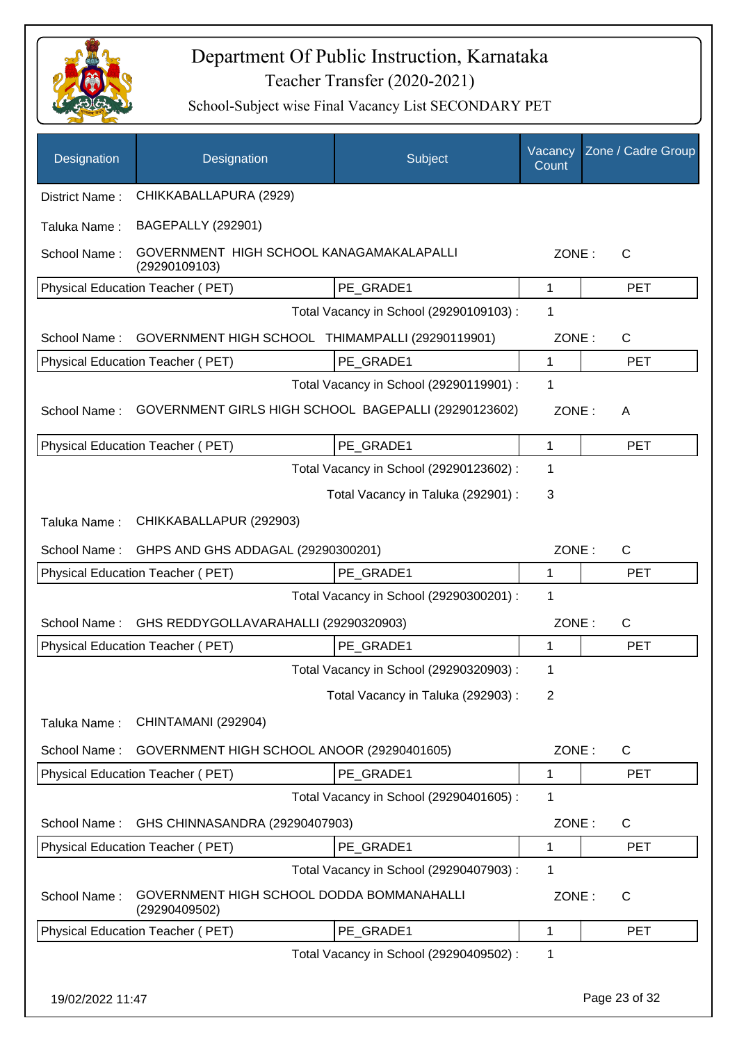

| Designation      | Designation                                                | Subject                                 | Vacancy<br>Count | Zone / Cadre Group |
|------------------|------------------------------------------------------------|-----------------------------------------|------------------|--------------------|
| District Name:   | CHIKKABALLAPURA (2929)                                     |                                         |                  |                    |
| Taluka Name:     | <b>BAGEPALLY (292901)</b>                                  |                                         |                  |                    |
| School Name:     | GOVERNMENT HIGH SCHOOL KANAGAMAKALAPALLI<br>(29290109103)  |                                         | ZONE:            | C                  |
|                  | Physical Education Teacher (PET)                           | PE GRADE1                               | 1                | <b>PET</b>         |
|                  |                                                            | Total Vacancy in School (29290109103) : | 1                |                    |
| School Name:     | GOVERNMENT HIGH SCHOOL THIMAMPALLI (29290119901)           |                                         | ZONE:            | $\mathsf{C}$       |
|                  | Physical Education Teacher (PET)                           | PE GRADE1                               | $\mathbf{1}$     | <b>PET</b>         |
|                  |                                                            | Total Vacancy in School (29290119901) : | 1                |                    |
| School Name:     | GOVERNMENT GIRLS HIGH SCHOOL BAGEPALLI (29290123602)       |                                         | ZONE:            | A                  |
|                  | Physical Education Teacher (PET)                           | PE GRADE1                               | 1                | <b>PET</b>         |
|                  |                                                            | Total Vacancy in School (29290123602) : | 1                |                    |
|                  |                                                            | Total Vacancy in Taluka (292901) :      | 3                |                    |
| Taluka Name:     | CHIKKABALLAPUR (292903)                                    |                                         |                  |                    |
| School Name:     | GHPS AND GHS ADDAGAL (29290300201)                         |                                         | ZONE:            | $\mathsf{C}$       |
|                  | Physical Education Teacher (PET)                           | PE GRADE1                               | $\mathbf{1}$     | <b>PET</b>         |
|                  |                                                            | Total Vacancy in School (29290300201) : | 1                |                    |
| School Name:     | GHS REDDYGOLLAVARAHALLI (29290320903)                      |                                         | ZONE:            | $\mathsf{C}$       |
|                  | Physical Education Teacher (PET)                           | PE GRADE1                               | 1                | <b>PET</b>         |
|                  |                                                            | Total Vacancy in School (29290320903) : | 1                |                    |
|                  |                                                            | Total Vacancy in Taluka (292903):       | 2                |                    |
| Taluka Name:     | CHINTAMANI (292904)                                        |                                         |                  |                    |
| School Name:     | GOVERNMENT HIGH SCHOOL ANOOR (29290401605)                 |                                         | ZONE:            | C                  |
|                  | <b>Physical Education Teacher (PET)</b>                    | PE GRADE1                               | 1                | <b>PET</b>         |
|                  |                                                            | Total Vacancy in School (29290401605) : | 1                |                    |
| School Name:     | GHS CHINNASANDRA (29290407903)                             |                                         | ZONE:            | C                  |
|                  | Physical Education Teacher (PET)                           | PE GRADE1                               | 1                | <b>PET</b>         |
|                  |                                                            | Total Vacancy in School (29290407903) : | 1                |                    |
| School Name:     | GOVERNMENT HIGH SCHOOL DODDA BOMMANAHALLI<br>(29290409502) |                                         | ZONE:            | $\mathsf{C}$       |
|                  | Physical Education Teacher (PET)                           | PE_GRADE1                               | $\mathbf 1$      | <b>PET</b>         |
|                  |                                                            | Total Vacancy in School (29290409502) : | 1                |                    |
| 19/02/2022 11:47 |                                                            |                                         |                  | Page 23 of 32      |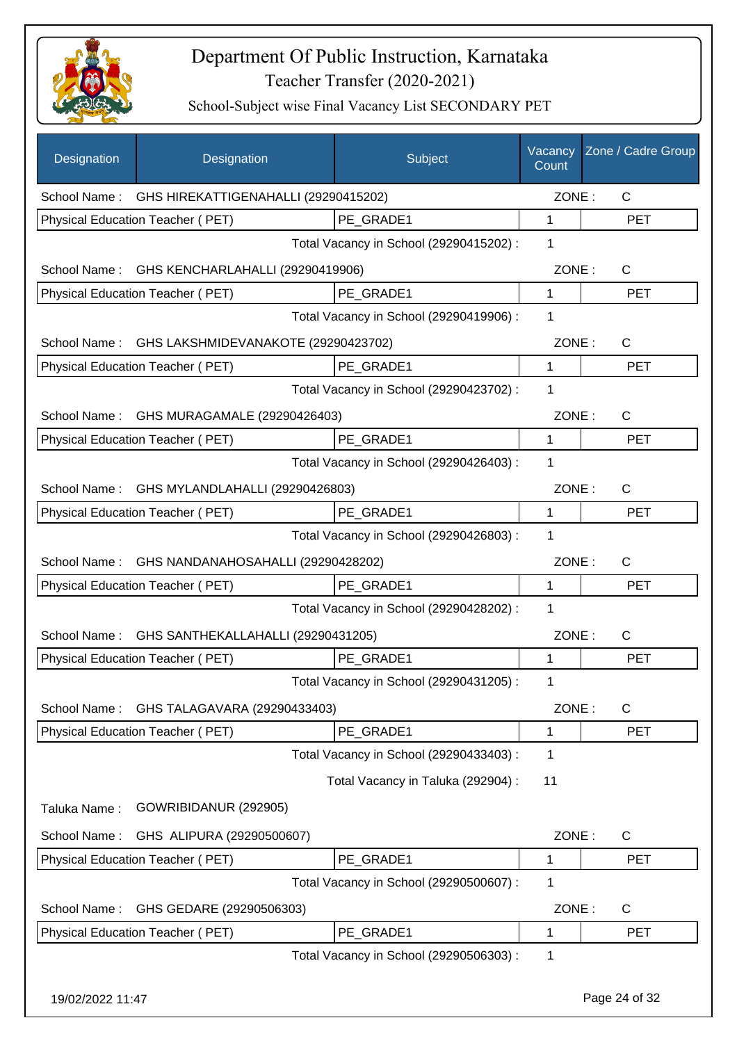

| Designation      | Designation                                       | Subject                                 | Vacancy<br>Count | Zone / Cadre Group |
|------------------|---------------------------------------------------|-----------------------------------------|------------------|--------------------|
|                  | School Name: GHS HIREKATTIGENAHALLI (29290415202) |                                         | ZONE:            | $\mathsf{C}$       |
|                  | Physical Education Teacher (PET)                  | PE GRADE1                               | 1                | <b>PET</b>         |
|                  |                                                   | Total Vacancy in School (29290415202) : | 1                |                    |
|                  | School Name: GHS KENCHARLAHALLI (29290419906)     |                                         | ZONE:            | $\mathsf{C}$       |
|                  | Physical Education Teacher (PET)                  | PE GRADE1                               | 1                | <b>PET</b>         |
|                  |                                                   | Total Vacancy in School (29290419906) : | 1                |                    |
|                  | School Name: GHS LAKSHMIDEVANAKOTE (29290423702)  |                                         | ZONE:            | C                  |
|                  | Physical Education Teacher (PET)                  | PE_GRADE1                               | 1                | <b>PET</b>         |
|                  |                                                   | Total Vacancy in School (29290423702) : | 1                |                    |
|                  | School Name: GHS MURAGAMALE (29290426403)         |                                         | ZONE:            | C                  |
|                  | Physical Education Teacher (PET)                  | PE GRADE1                               | $\mathbf 1$      | <b>PET</b>         |
|                  |                                                   | Total Vacancy in School (29290426403) : | 1                |                    |
|                  | School Name: GHS MYLANDLAHALLI (29290426803)      |                                         | ZONE:            | $\mathsf{C}$       |
|                  | Physical Education Teacher (PET)                  | PE_GRADE1                               | 1                | <b>PET</b>         |
|                  |                                                   | Total Vacancy in School (29290426803) : | 1                |                    |
| School Name:     | GHS NANDANAHOSAHALLI (29290428202)                |                                         | ZONE:            | C                  |
|                  | Physical Education Teacher (PET)                  | PE_GRADE1                               | 1                | <b>PET</b>         |
|                  |                                                   | Total Vacancy in School (29290428202) : | 1                |                    |
| School Name:     | GHS SANTHEKALLAHALLI (29290431205)                |                                         | ZONE:            | C                  |
|                  | Physical Education Teacher (PET)                  | PE GRADE1                               | 1                | <b>PET</b>         |
|                  |                                                   | Total Vacancy in School (29290431205) : | 1                |                    |
| School Name:     | GHS TALAGAVARA (29290433403)                      |                                         | ZONE:            | C                  |
|                  | Physical Education Teacher (PET)                  | PE_GRADE1                               | 1                | <b>PET</b>         |
|                  |                                                   | Total Vacancy in School (29290433403) : | 1                |                    |
|                  |                                                   | Total Vacancy in Taluka (292904) :      | 11               |                    |
| Taluka Name:     | GOWRIBIDANUR (292905)                             |                                         |                  |                    |
| School Name:     | GHS ALIPURA (29290500607)                         |                                         | ZONE:            | C                  |
|                  | Physical Education Teacher (PET)                  | PE GRADE1                               | 1                | <b>PET</b>         |
|                  |                                                   | Total Vacancy in School (29290500607) : | 1                |                    |
| School Name:     | GHS GEDARE (29290506303)                          |                                         | ZONE:            | C                  |
|                  | Physical Education Teacher (PET)                  | PE_GRADE1                               | 1                | <b>PET</b>         |
|                  |                                                   | Total Vacancy in School (29290506303) : | 1                |                    |
| 19/02/2022 11:47 |                                                   |                                         |                  | Page 24 of 32      |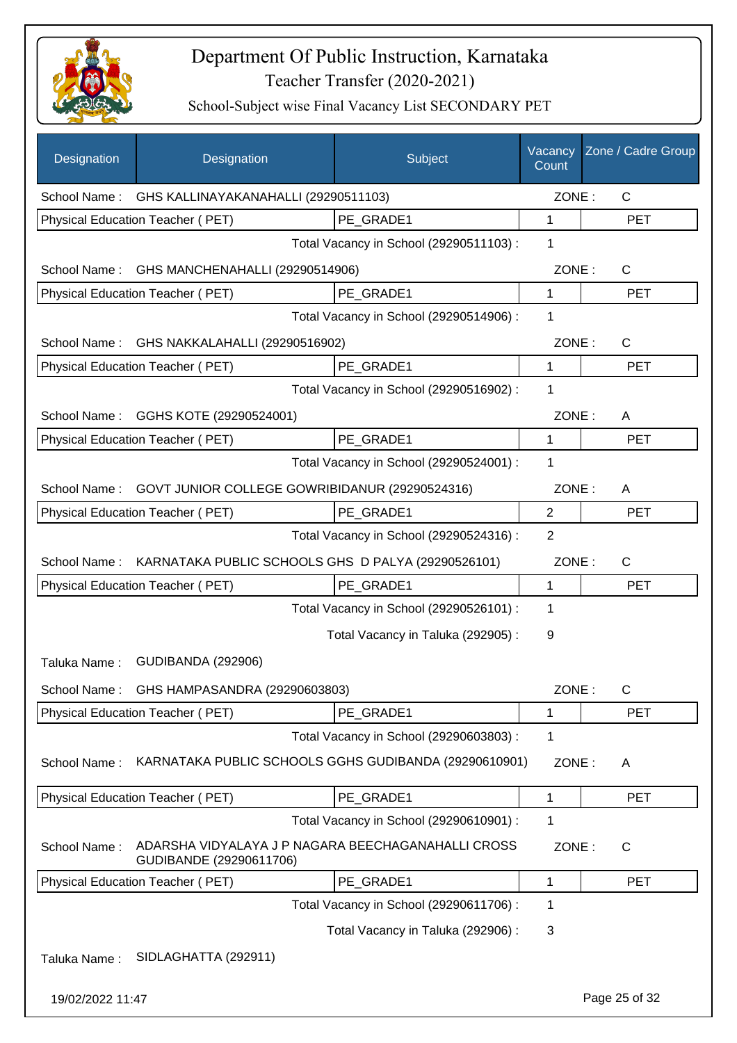

| Designation      | Designation                                                                   | Subject                                 | Vacancy<br>Count | Zone / Cadre Group |
|------------------|-------------------------------------------------------------------------------|-----------------------------------------|------------------|--------------------|
|                  | School Name: GHS KALLINAYAKANAHALLI (29290511103)                             |                                         | ZONE:            | $\mathsf{C}$       |
|                  | Physical Education Teacher (PET)                                              | PE GRADE1                               | 1                | <b>PET</b>         |
|                  |                                                                               | Total Vacancy in School (29290511103) : | 1                |                    |
|                  | School Name: GHS MANCHENAHALLI (29290514906)                                  |                                         | ZONE:            | $\mathsf{C}$       |
|                  | <b>Physical Education Teacher (PET)</b>                                       | PE GRADE1                               | 1                | <b>PET</b>         |
|                  |                                                                               | Total Vacancy in School (29290514906) : | 1                |                    |
|                  | School Name: GHS NAKKALAHALLI (29290516902)                                   |                                         | ZONE:            | $\mathsf{C}$       |
|                  | Physical Education Teacher (PET)                                              | PE_GRADE1                               | 1                | <b>PET</b>         |
|                  |                                                                               | Total Vacancy in School (29290516902) : | 1                |                    |
|                  | School Name: GGHS KOTE (29290524001)                                          |                                         | ZONE:            | A                  |
|                  | Physical Education Teacher (PET)                                              | PE_GRADE1                               | $\mathbf{1}$     | <b>PET</b>         |
|                  |                                                                               | Total Vacancy in School (29290524001) : | 1                |                    |
|                  | School Name: GOVT JUNIOR COLLEGE GOWRIBIDANUR (29290524316)                   |                                         | ZONE:            | A                  |
|                  | Physical Education Teacher (PET)                                              | PE_GRADE1                               | $\overline{2}$   | <b>PET</b>         |
|                  |                                                                               | Total Vacancy in School (29290524316) : | $\overline{2}$   |                    |
|                  | School Name: KARNATAKA PUBLIC SCHOOLS GHS D PALYA (29290526101)               |                                         | ZONE:            | $\mathsf{C}$       |
|                  | Physical Education Teacher (PET)                                              | PE_GRADE1                               | 1                | <b>PET</b>         |
|                  |                                                                               | Total Vacancy in School (29290526101) : | 1                |                    |
|                  |                                                                               | Total Vacancy in Taluka (292905):       | 9                |                    |
| Taluka Name:     | <b>GUDIBANDA (292906)</b>                                                     |                                         |                  |                    |
| School Name:     | GHS HAMPASANDRA (29290603803)                                                 |                                         | ZONE:            | $\mathsf C$        |
|                  | Physical Education Teacher (PET)                                              | PE GRADE1                               | 1                | PET                |
|                  |                                                                               | Total Vacancy in School (29290603803) : | 1                |                    |
| School Name:     | KARNATAKA PUBLIC SCHOOLS GGHS GUDIBANDA (29290610901)                         |                                         | ZONE:            | A                  |
|                  | Physical Education Teacher (PET)                                              | PE_GRADE1                               | 1                | <b>PET</b>         |
|                  |                                                                               | Total Vacancy in School (29290610901) : | 1                |                    |
| School Name:     | ADARSHA VIDYALAYA J P NAGARA BEECHAGANAHALLI CROSS<br>GUDIBANDE (29290611706) |                                         | ZONE:            | $\mathsf{C}$       |
|                  | Physical Education Teacher (PET)                                              | PE GRADE1                               | 1                | <b>PET</b>         |
|                  |                                                                               | Total Vacancy in School (29290611706) : | 1                |                    |
|                  |                                                                               | Total Vacancy in Taluka (292906) :      | 3                |                    |
| Taluka Name:     | SIDLAGHATTA (292911)                                                          |                                         |                  |                    |
| 19/02/2022 11:47 |                                                                               |                                         |                  | Page 25 of 32      |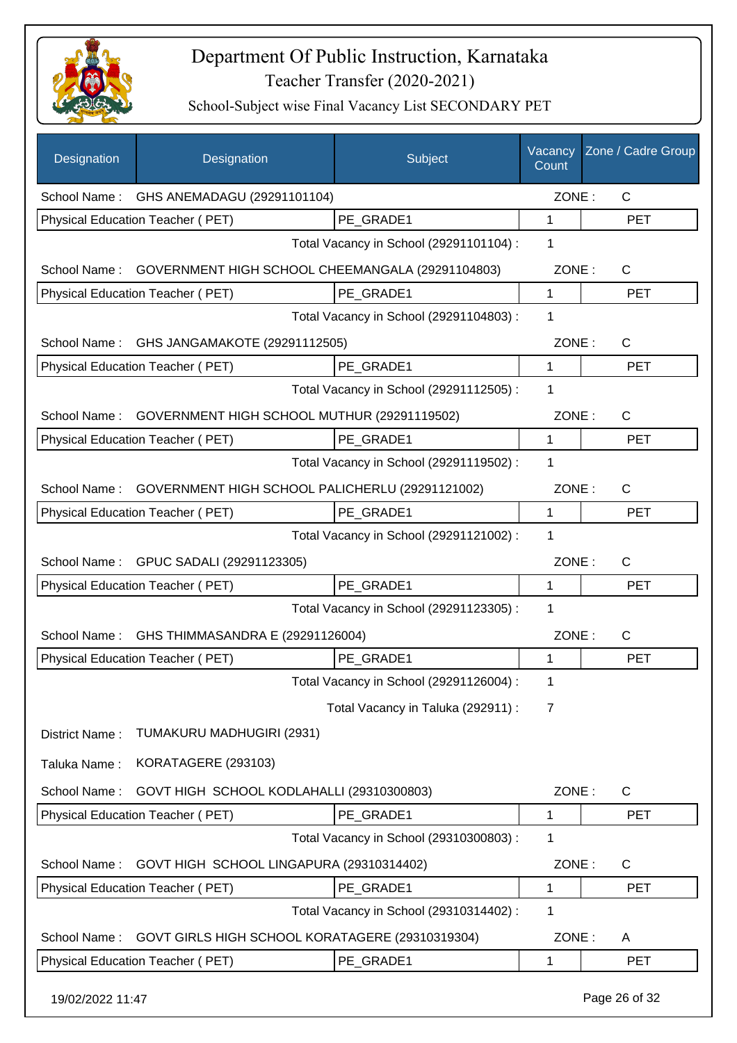

| Designation      | Designation                                                  | Subject                                 | Vacancy<br>Count | Zone / Cadre Group |
|------------------|--------------------------------------------------------------|-----------------------------------------|------------------|--------------------|
| School Name:     | GHS ANEMADAGU (29291101104)                                  |                                         | ZONE:            | $\mathsf{C}$       |
|                  | Physical Education Teacher (PET)                             | PE GRADE1                               | 1                | <b>PET</b>         |
|                  |                                                              | Total Vacancy in School (29291101104) : | 1                |                    |
| School Name:     | GOVERNMENT HIGH SCHOOL CHEEMANGALA (29291104803)             |                                         | ZONE:            | $\mathsf{C}$       |
|                  | Physical Education Teacher (PET)                             | PE_GRADE1                               | 1                | <b>PET</b>         |
|                  |                                                              | Total Vacancy in School (29291104803) : | 1                |                    |
| School Name:     | GHS JANGAMAKOTE (29291112505)                                |                                         | ZONE:            | C                  |
|                  | Physical Education Teacher (PET)                             | PE GRADE1                               | 1                | <b>PET</b>         |
|                  |                                                              | Total Vacancy in School (29291112505) : | 1                |                    |
| School Name:     | GOVERNMENT HIGH SCHOOL MUTHUR (29291119502)                  |                                         | ZONE:            | $\mathsf{C}$       |
|                  | Physical Education Teacher (PET)                             | PE GRADE1                               | $\mathbf{1}$     | <b>PET</b>         |
|                  |                                                              | Total Vacancy in School (29291119502) : | 1                |                    |
|                  | School Name: GOVERNMENT HIGH SCHOOL PALICHERLU (29291121002) |                                         | ZONE:            | $\mathsf{C}$       |
|                  | Physical Education Teacher (PET)                             | PE_GRADE1                               | $\mathbf{1}$     | <b>PET</b>         |
|                  |                                                              | Total Vacancy in School (29291121002) : | 1                |                    |
|                  | School Name: GPUC SADALI (29291123305)                       |                                         | ZONE:            | $\mathsf{C}$       |
|                  | Physical Education Teacher (PET)                             | PE_GRADE1                               | 1                | <b>PET</b>         |
|                  |                                                              | Total Vacancy in School (29291123305) : | 1                |                    |
| School Name:     | GHS THIMMASANDRA E (29291126004)                             |                                         | ZONE:            | $\mathsf{C}$       |
|                  | Physical Education Teacher (PET)                             | PE_GRADE1                               | 1                | <b>PET</b>         |
|                  |                                                              | Total Vacancy in School (29291126004) : | 1                |                    |
|                  |                                                              | Total Vacancy in Taluka (292911) :      | $\overline{7}$   |                    |
| District Name:   | TUMAKURU MADHUGIRI (2931)                                    |                                         |                  |                    |
| Taluka Name:     | KORATAGERE (293103)                                          |                                         |                  |                    |
| School Name:     | GOVT HIGH SCHOOL KODLAHALLI (29310300803)                    |                                         | ZONE:            | $\mathsf{C}$       |
|                  | Physical Education Teacher (PET)                             | PE GRADE1                               | 1                | <b>PET</b>         |
|                  |                                                              | Total Vacancy in School (29310300803) : | 1                |                    |
| School Name:     | GOVT HIGH SCHOOL LINGAPURA (29310314402)                     |                                         | ZONE:            | C                  |
|                  | Physical Education Teacher (PET)                             | PE_GRADE1                               | 1                | <b>PET</b>         |
|                  |                                                              | Total Vacancy in School (29310314402) : | 1                |                    |
| School Name:     | GOVT GIRLS HIGH SCHOOL KORATAGERE (29310319304)              |                                         | ZONE:            | A                  |
|                  | Physical Education Teacher (PET)                             | PE_GRADE1                               | 1                | <b>PET</b>         |
| 19/02/2022 11:47 |                                                              |                                         |                  | Page 26 of 32      |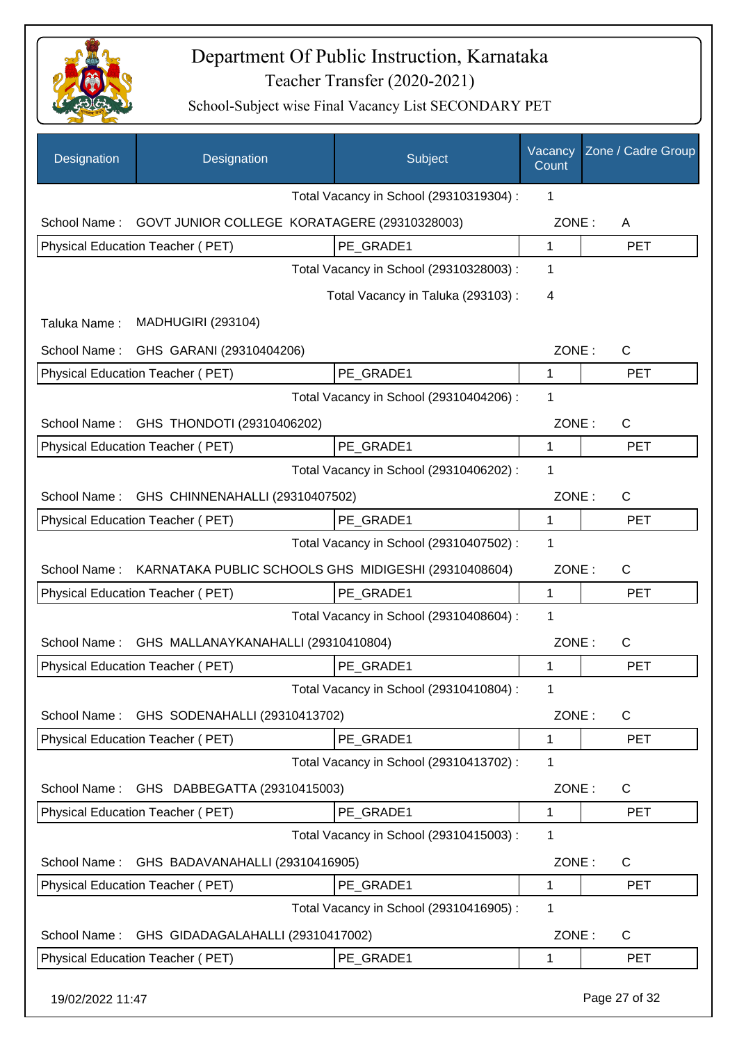

| Designation      | Designation                                          | Subject                                 | Vacancy<br>Count | Zone / Cadre Group |
|------------------|------------------------------------------------------|-----------------------------------------|------------------|--------------------|
|                  |                                                      | Total Vacancy in School (29310319304) : | 1                |                    |
| School Name:     | GOVT JUNIOR COLLEGE KORATAGERE (29310328003)         |                                         | ZONE:            | A                  |
|                  | Physical Education Teacher (PET)                     | PE GRADE1                               | 1                | <b>PET</b>         |
|                  |                                                      | Total Vacancy in School (29310328003) : | 1                |                    |
|                  |                                                      | Total Vacancy in Taluka (293103):       | 4                |                    |
| Taluka Name:     | <b>MADHUGIRI (293104)</b>                            |                                         |                  |                    |
| School Name:     | GHS GARANI (29310404206)                             |                                         | ZONE:            | C                  |
|                  | Physical Education Teacher (PET)                     | PE GRADE1                               | 1                | <b>PET</b>         |
|                  |                                                      | Total Vacancy in School (29310404206) : | 1                |                    |
| School Name:     | GHS THONDOTI (29310406202)                           |                                         | ZONE:            | C                  |
|                  | Physical Education Teacher (PET)                     | PE GRADE1                               | $\mathbf{1}$     | <b>PET</b>         |
|                  |                                                      | Total Vacancy in School (29310406202) : | 1                |                    |
| School Name:     | GHS CHINNENAHALLI (29310407502)                      |                                         | ZONE:            | $\mathsf{C}$       |
|                  | Physical Education Teacher (PET)                     | PE GRADE1                               | $\mathbf{1}$     | <b>PET</b>         |
|                  |                                                      | Total Vacancy in School (29310407502) : | 1                |                    |
| School Name:     | KARNATAKA PUBLIC SCHOOLS GHS MIDIGESHI (29310408604) |                                         | ZONE:            | C                  |
|                  | Physical Education Teacher (PET)                     | PE_GRADE1                               | 1                | <b>PET</b>         |
|                  |                                                      | Total Vacancy in School (29310408604) : | 1                |                    |
| School Name:     | GHS MALLANAYKANAHALLI (29310410804)                  |                                         | ZONE:            | C                  |
|                  | Physical Education Teacher (PET)                     | PE GRADE1                               | 1                | <b>PET</b>         |
|                  |                                                      | Total Vacancy in School (29310410804) : | 1                |                    |
| School Name:     | GHS SODENAHALLI (29310413702)                        |                                         | ZONE:            | $\mathsf{C}$       |
|                  | <b>Physical Education Teacher (PET)</b>              | PE_GRADE1                               | $\mathbf{1}$     | <b>PET</b>         |
|                  |                                                      | Total Vacancy in School (29310413702) : | 1                |                    |
| School Name:     | GHS DABBEGATTA (29310415003)                         |                                         | ZONE:            | $\mathsf{C}$       |
|                  | Physical Education Teacher (PET)                     | PE GRADE1                               | 1                | <b>PET</b>         |
|                  |                                                      | Total Vacancy in School (29310415003) : | 1                |                    |
| School Name:     | GHS BADAVANAHALLI (29310416905)                      |                                         | ZONE:            | $\mathsf{C}$       |
|                  | Physical Education Teacher (PET)                     | PE_GRADE1                               | 1                | <b>PET</b>         |
|                  |                                                      | Total Vacancy in School (29310416905) : | 1                |                    |
| School Name:     | GHS GIDADAGALAHALLI (29310417002)                    |                                         | ZONE:            | C                  |
|                  | Physical Education Teacher (PET)                     | PE_GRADE1                               | 1                | <b>PET</b>         |
| 19/02/2022 11:47 |                                                      |                                         |                  | Page 27 of 32      |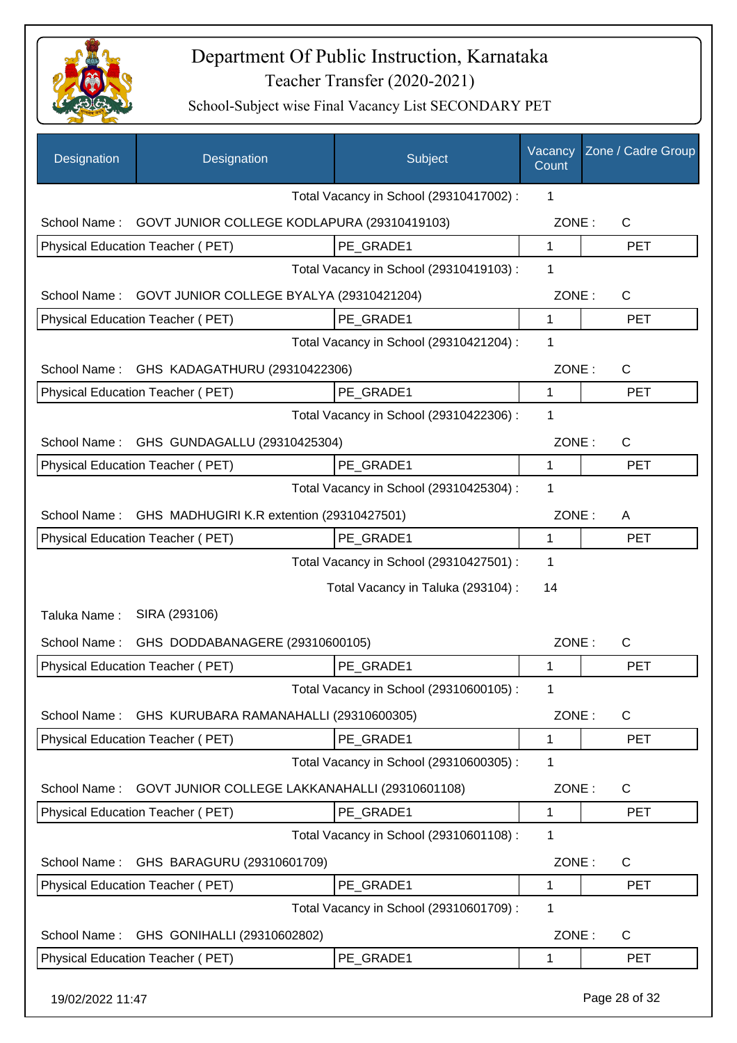

| Designation      | Designation                                    | Subject                                 | Vacancy<br>Count | Zone / Cadre Group |
|------------------|------------------------------------------------|-----------------------------------------|------------------|--------------------|
|                  |                                                | Total Vacancy in School (29310417002) : | 1                |                    |
| School Name:     | GOVT JUNIOR COLLEGE KODLAPURA (29310419103)    |                                         | ZONE:            | $\mathsf{C}$       |
|                  | Physical Education Teacher (PET)               | PE GRADE1                               | $\mathbf 1$      | <b>PET</b>         |
|                  |                                                | Total Vacancy in School (29310419103) : | 1                |                    |
| School Name:     | GOVT JUNIOR COLLEGE BYALYA (29310421204)       |                                         | ZONE:            | C                  |
|                  | Physical Education Teacher (PET)               | PE GRADE1                               | $\mathbf{1}$     | <b>PET</b>         |
|                  |                                                | Total Vacancy in School (29310421204) : | 1                |                    |
| School Name:     | GHS KADAGATHURU (29310422306)                  |                                         | ZONE:            | $\mathsf{C}$       |
|                  | Physical Education Teacher (PET)               | PE GRADE1                               | 1                | <b>PET</b>         |
|                  |                                                | Total Vacancy in School (29310422306) : | $\mathbf{1}$     |                    |
| School Name:     | GHS GUNDAGALLU (29310425304)                   |                                         | ZONE:            | $\mathsf{C}$       |
|                  | Physical Education Teacher (PET)               | PE GRADE1                               | 1                | <b>PET</b>         |
|                  |                                                | Total Vacancy in School (29310425304) : | 1                |                    |
| School Name:     | GHS MADHUGIRI K.R extention (29310427501)      |                                         | ZONE:            | A                  |
|                  | Physical Education Teacher (PET)               | PE GRADE1                               | 1                | <b>PET</b>         |
|                  |                                                | Total Vacancy in School (29310427501) : | $\mathbf 1$      |                    |
|                  |                                                | Total Vacancy in Taluka (293104) :      | 14               |                    |
| Taluka Name:     | SIRA (293106)                                  |                                         |                  |                    |
| School Name:     | GHS DODDABANAGERE (29310600105)                |                                         | ZONE:            | C                  |
|                  | Physical Education Teacher (PET)               | PE GRADE1                               | 1                | <b>PET</b>         |
|                  |                                                | Total Vacancy in School (29310600105) : | 1                |                    |
| School Name:     | GHS KURUBARA RAMANAHALLI (29310600305)         |                                         | ZONE:            | C                  |
|                  | Physical Education Teacher (PET)               | PE GRADE1                               | 1                | <b>PET</b>         |
|                  |                                                | Total Vacancy in School (29310600305) : | 1                |                    |
| School Name:     | GOVT JUNIOR COLLEGE LAKKANAHALLI (29310601108) |                                         | ZONE:            | $\mathsf{C}$       |
|                  | Physical Education Teacher (PET)               | PE GRADE1                               | 1                | <b>PET</b>         |
|                  |                                                | Total Vacancy in School (29310601108) : | $\mathbf 1$      |                    |
| School Name:     | GHS BARAGURU (29310601709)                     |                                         | ZONE:            | $\mathsf{C}$       |
|                  | Physical Education Teacher (PET)               | PE_GRADE1                               | 1                | <b>PET</b>         |
|                  |                                                | Total Vacancy in School (29310601709) : | 1                |                    |
| School Name:     | GHS GONIHALLI (29310602802)                    |                                         | ZONE:            | C                  |
|                  | Physical Education Teacher (PET)               | PE_GRADE1                               | 1                | <b>PET</b>         |
|                  |                                                |                                         |                  |                    |
| 19/02/2022 11:47 |                                                |                                         |                  | Page 28 of 32      |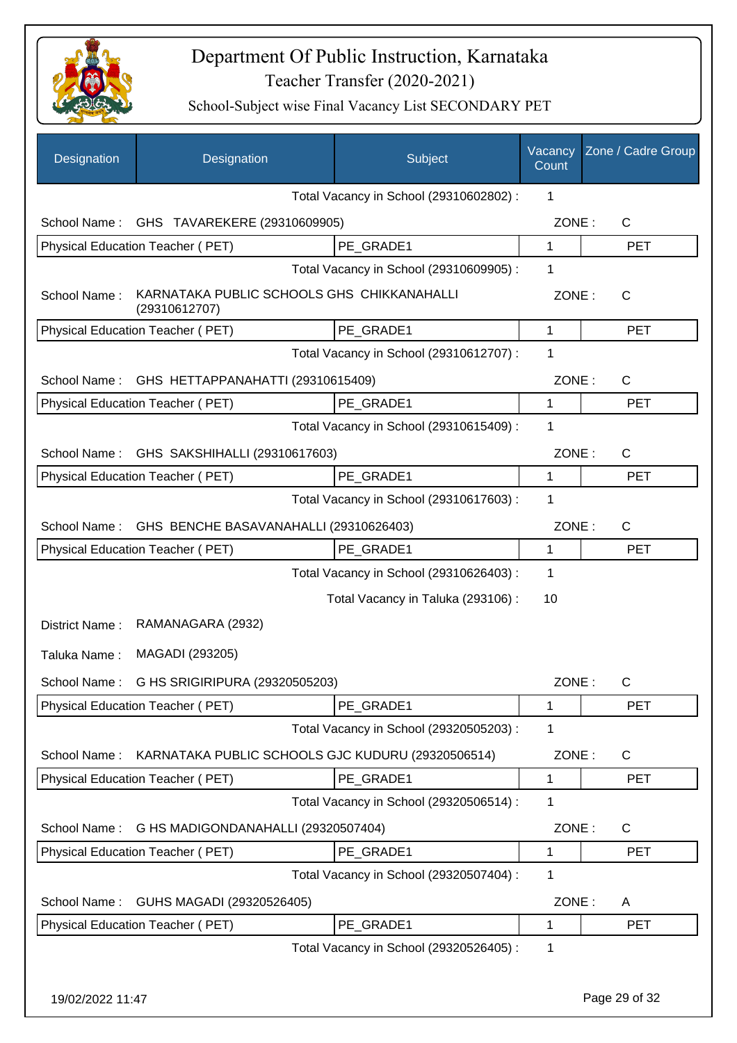

| Designation      | Designation                                                 | Subject                                 | Vacancy<br>Count | Zone / Cadre Group |
|------------------|-------------------------------------------------------------|-----------------------------------------|------------------|--------------------|
|                  |                                                             | Total Vacancy in School (29310602802) : | 1                |                    |
| School Name:     | GHS TAVAREKERE (29310609905)                                |                                         | ZONE:            | $\mathsf{C}$       |
|                  | Physical Education Teacher (PET)                            | PE_GRADE1                               | 1                | <b>PET</b>         |
|                  |                                                             | Total Vacancy in School (29310609905) : | 1                |                    |
| School Name:     | KARNATAKA PUBLIC SCHOOLS GHS CHIKKANAHALLI<br>(29310612707) |                                         | ZONE:            | $\mathsf{C}$       |
|                  | Physical Education Teacher (PET)                            | PE GRADE1                               | 1                | <b>PET</b>         |
|                  |                                                             | Total Vacancy in School (29310612707) : | 1                |                    |
| School Name:     | GHS HETTAPPANAHATTI (29310615409)                           |                                         | ZONE:            | $\mathsf{C}$       |
|                  | Physical Education Teacher (PET)                            | PE GRADE1                               | 1                | <b>PET</b>         |
|                  |                                                             | Total Vacancy in School (29310615409) : | 1                |                    |
| School Name:     | GHS SAKSHIHALLI (29310617603)                               |                                         | ZONE:            | $\mathsf{C}$       |
|                  | Physical Education Teacher (PET)                            | PE GRADE1                               | 1                | <b>PET</b>         |
|                  |                                                             | Total Vacancy in School (29310617603) : | 1                |                    |
| School Name:     | GHS BENCHE BASAVANAHALLI (29310626403)                      |                                         | ZONE:            | C                  |
|                  | Physical Education Teacher (PET)                            | PE GRADE1                               | 1                | <b>PET</b>         |
|                  |                                                             | Total Vacancy in School (29310626403) : | $\mathbf 1$      |                    |
|                  |                                                             | Total Vacancy in Taluka (293106) :      | 10               |                    |
| District Name:   | RAMANAGARA (2932)                                           |                                         |                  |                    |
| Taluka Name:     | MAGADI (293205)                                             |                                         |                  |                    |
|                  | School Name: G HS SRIGIRIPURA (29320505203)                 |                                         | ZONE:            | C                  |
|                  | Physical Education Teacher (PET)                            | PE_GRADE1                               | 1                | <b>PET</b>         |
|                  |                                                             | Total Vacancy in School (29320505203) : | 1                |                    |
| School Name:     | KARNATAKA PUBLIC SCHOOLS GJC KUDURU (29320506514)           |                                         | ZONE:            | $\mathsf{C}$       |
|                  | Physical Education Teacher (PET)                            | PE GRADE1                               | 1                | <b>PET</b>         |
|                  |                                                             | Total Vacancy in School (29320506514) : | 1                |                    |
|                  |                                                             |                                         |                  |                    |
| School Name:     | G HS MADIGONDANAHALLI (29320507404)                         |                                         | ZONE:            | $\mathsf C$        |
|                  | Physical Education Teacher (PET)                            | PE_GRADE1                               | 1                | <b>PET</b>         |
|                  |                                                             | Total Vacancy in School (29320507404) : | 1                |                    |
| School Name:     | GUHS MAGADI (29320526405)                                   |                                         | ZONE:            | A                  |
|                  | Physical Education Teacher (PET)                            | PE GRADE1                               | 1                | <b>PET</b>         |
|                  |                                                             | Total Vacancy in School (29320526405) : | 1                |                    |
| 19/02/2022 11:47 |                                                             |                                         |                  | Page 29 of 32      |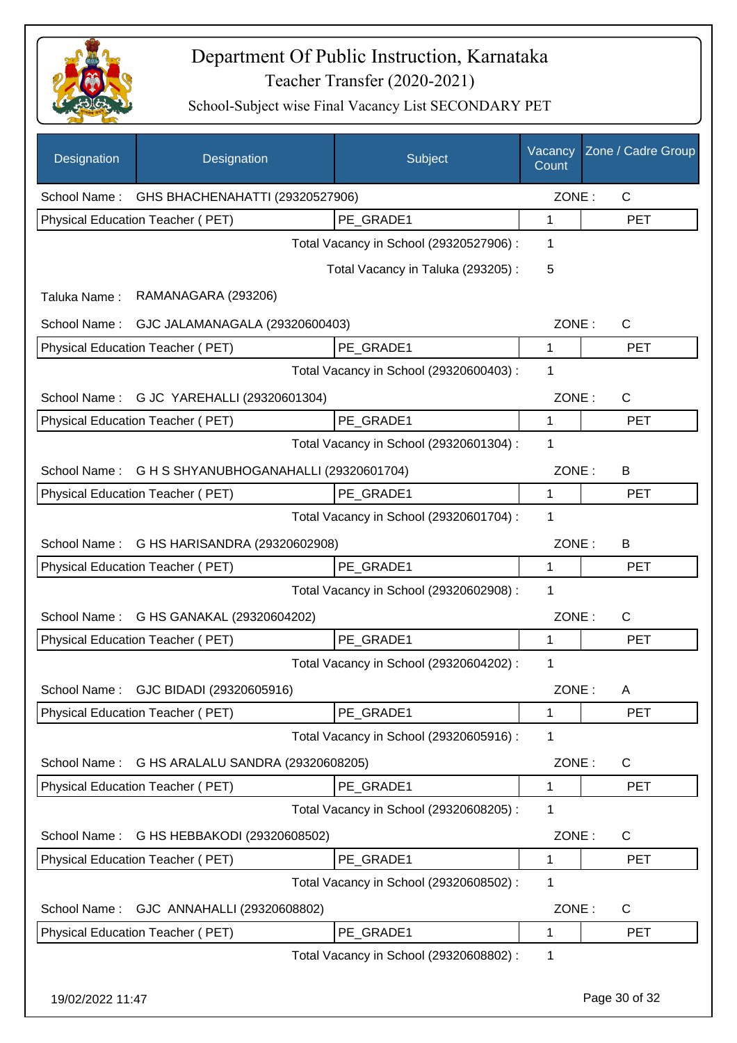

| Designation      | Designation                            | Subject                                 | Vacancy<br>Count | Zone / Cadre Group |
|------------------|----------------------------------------|-----------------------------------------|------------------|--------------------|
| School Name:     | GHS BHACHENAHATTI (29320527906)        |                                         | ZONE:            | $\mathsf{C}$       |
|                  | Physical Education Teacher (PET)       | PE_GRADE1                               | 1                | <b>PET</b>         |
|                  |                                        | Total Vacancy in School (29320527906) : | 1                |                    |
|                  |                                        | Total Vacancy in Taluka (293205):       | 5                |                    |
| Taluka Name:     | RAMANAGARA (293206)                    |                                         |                  |                    |
| School Name:     | GJC JALAMANAGALA (29320600403)         |                                         | ZONE:            | C                  |
|                  | Physical Education Teacher (PET)       | PE_GRADE1                               | 1                | <b>PET</b>         |
|                  |                                        | Total Vacancy in School (29320600403) : | 1                |                    |
| School Name:     | G JC YAREHALLI (29320601304)           |                                         | ZONE:            | $\mathsf{C}$       |
|                  | Physical Education Teacher (PET)       | PE_GRADE1                               | 1                | <b>PET</b>         |
|                  |                                        | Total Vacancy in School (29320601304) : | 1                |                    |
| School Name:     | G H S SHYANUBHOGANAHALLI (29320601704) |                                         | ZONE:            | B                  |
|                  | Physical Education Teacher (PET)       | PE_GRADE1                               | 1                | <b>PET</b>         |
|                  |                                        | Total Vacancy in School (29320601704) : | 1                |                    |
| School Name:     | G HS HARISANDRA (29320602908)          |                                         | ZONE:            | B                  |
|                  | Physical Education Teacher (PET)       | PE_GRADE1                               | 1                | <b>PET</b>         |
|                  |                                        | Total Vacancy in School (29320602908) : | 1                |                    |
| School Name:     | G HS GANAKAL (29320604202)             |                                         | ZONE:            | $\mathsf{C}$       |
|                  | Physical Education Teacher (PET)       | PE_GRADE1                               | 1                | <b>PET</b>         |
|                  |                                        | Total Vacancy in School (29320604202) : | 1                |                    |
|                  | School Name: GJC BIDADI (29320605916)  |                                         | ZONE:            | A                  |
|                  | Physical Education Teacher (PET)       | PE GRADE1                               | 1                | <b>PET</b>         |
|                  |                                        | Total Vacancy in School (29320605916) : | 1                |                    |
| School Name:     | G HS ARALALU SANDRA (29320608205)      |                                         | ZONE:            | C                  |
|                  | Physical Education Teacher (PET)       | PE GRADE1                               | 1                | <b>PET</b>         |
|                  |                                        | Total Vacancy in School (29320608205) : | 1                |                    |
| School Name:     | G HS HEBBAKODI (29320608502)           |                                         | ZONE:            | C                  |
|                  | Physical Education Teacher (PET)       | PE_GRADE1                               | 1                | <b>PET</b>         |
|                  |                                        | Total Vacancy in School (29320608502) : | 1                |                    |
| School Name:     | GJC ANNAHALLI (29320608802)            |                                         | ZONE:            | C                  |
|                  | Physical Education Teacher (PET)       | PE_GRADE1                               | 1                | <b>PET</b>         |
|                  |                                        | Total Vacancy in School (29320608802) : | 1                |                    |
| 19/02/2022 11:47 |                                        |                                         |                  | Page 30 of 32      |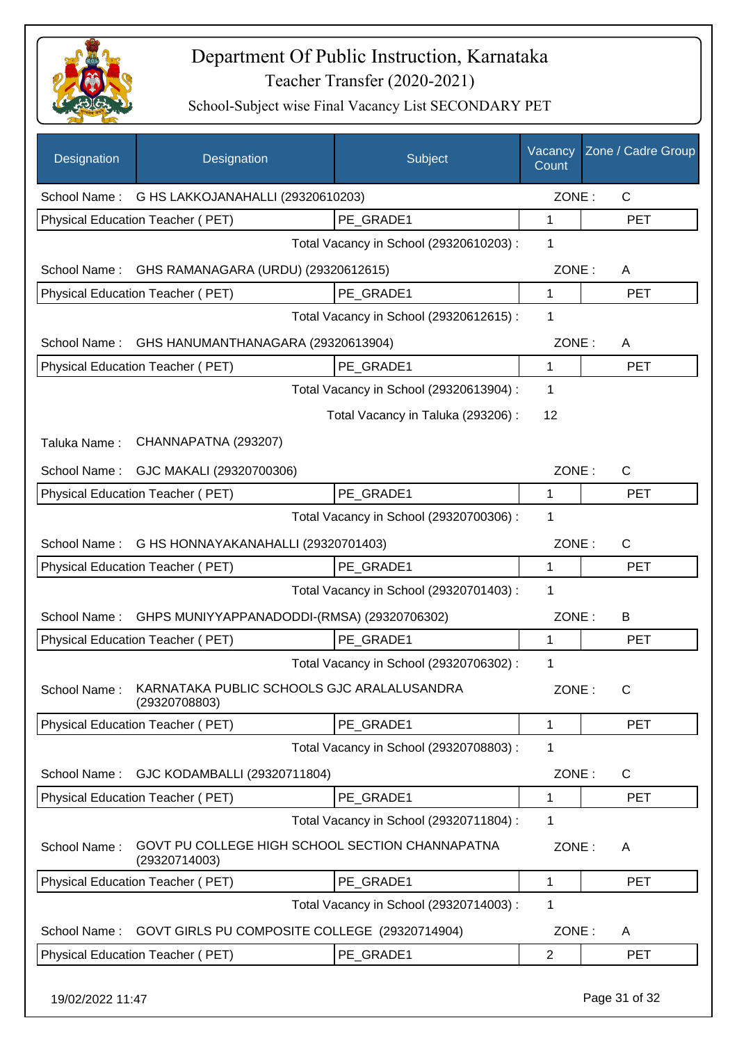

| Designation                                    | Designation                                                      | Subject                                 | Vacancy<br>Count | Zone / Cadre Group |
|------------------------------------------------|------------------------------------------------------------------|-----------------------------------------|------------------|--------------------|
| School Name: G HS LAKKOJANAHALLI (29320610203) |                                                                  |                                         | ZONE:            | $\mathsf{C}$       |
|                                                | <b>Physical Education Teacher (PET)</b>                          | PE GRADE1                               | 1                | <b>PET</b>         |
|                                                |                                                                  | Total Vacancy in School (29320610203) : | 1                |                    |
| School Name:                                   | GHS RAMANAGARA (URDU) (29320612615)                              |                                         | ZONE:            | A                  |
|                                                | Physical Education Teacher (PET)                                 | PE GRADE1                               | 1                | <b>PET</b>         |
|                                                |                                                                  | Total Vacancy in School (29320612615) : | 1                |                    |
| School Name:                                   | GHS HANUMANTHANAGARA (29320613904)                               |                                         | ZONE:            | A                  |
|                                                | Physical Education Teacher (PET)                                 | PE GRADE1                               | 1                | <b>PET</b>         |
|                                                |                                                                  | Total Vacancy in School (29320613904) : | 1                |                    |
|                                                |                                                                  | Total Vacancy in Taluka (293206) :      | 12               |                    |
| Taluka Name:                                   | CHANNAPATNA (293207)                                             |                                         |                  |                    |
| School Name:                                   | GJC MAKALI (29320700306)                                         |                                         | ZONE:            | $\mathsf{C}$       |
|                                                | <b>Physical Education Teacher (PET)</b>                          | PE_GRADE1                               | 1                | <b>PET</b>         |
|                                                |                                                                  | Total Vacancy in School (29320700306) : | 1                |                    |
| School Name:                                   | G HS HONNAYAKANAHALLI (29320701403)                              |                                         | ZONE:            | $\mathsf C$        |
| Physical Education Teacher (PET)<br>PE_GRADE1  |                                                                  |                                         | $\mathbf{1}$     | <b>PET</b>         |
|                                                |                                                                  | Total Vacancy in School (29320701403) : | 1                |                    |
| School Name:                                   | GHPS MUNIYYAPPANADODDI-(RMSA) (29320706302)                      |                                         | ZONE:            | B                  |
|                                                | Physical Education Teacher (PET)                                 | PE GRADE1                               | 1                | <b>PET</b>         |
|                                                |                                                                  | Total Vacancy in School (29320706302) : | 1                |                    |
| School Name:                                   | KARNATAKA PUBLIC SCHOOLS GJC ARALALUSANDRA<br>(29320708803)      |                                         | ZONE:            | $\mathsf{C}$       |
|                                                | <b>Physical Education Teacher (PET)</b>                          | PE GRADE1                               | 1                | <b>PET</b>         |
|                                                |                                                                  | Total Vacancy in School (29320708803) : | 1                |                    |
| School Name:                                   | GJC KODAMBALLI (29320711804)                                     |                                         | ZONE:            | C                  |
|                                                | Physical Education Teacher (PET)                                 | PE GRADE1                               | 1                | <b>PET</b>         |
|                                                |                                                                  | Total Vacancy in School (29320711804) : | 1                |                    |
| School Name:                                   | GOVT PU COLLEGE HIGH SCHOOL SECTION CHANNAPATNA<br>(29320714003) |                                         | ZONE:            | A                  |
|                                                | Physical Education Teacher (PET)                                 | PE GRADE1                               | 1                | <b>PET</b>         |
|                                                |                                                                  | Total Vacancy in School (29320714003) : | 1                |                    |
| School Name:                                   | GOVT GIRLS PU COMPOSITE COLLEGE (29320714904)                    |                                         | ZONE:            | A                  |
|                                                | Physical Education Teacher (PET)                                 | PE GRADE1                               | $\overline{2}$   | <b>PET</b>         |
|                                                |                                                                  |                                         |                  |                    |